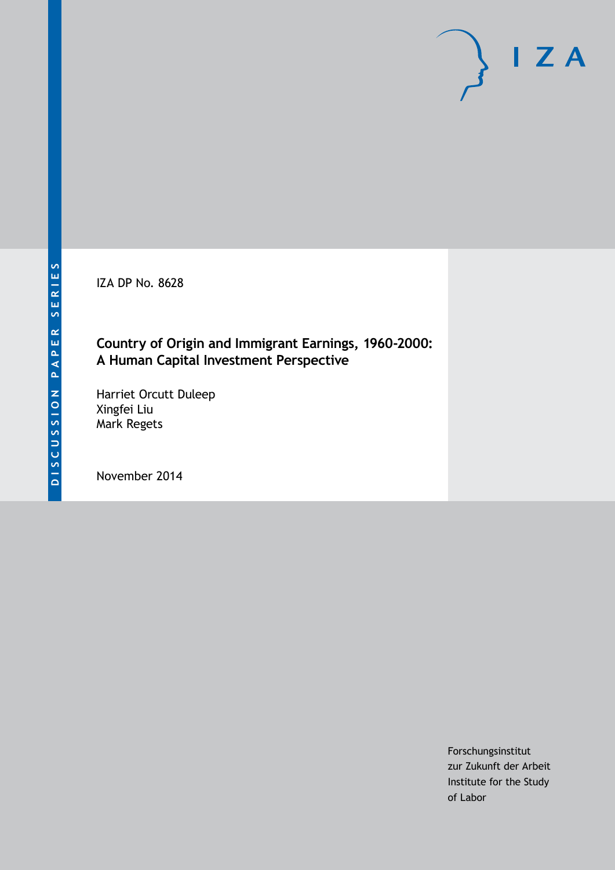IZA DP No. 8628

## **Country of Origin and Immigrant Earnings, 1960-2000: A Human Capital Investment Perspective**

Harriet Orcutt Duleep Xingfei Liu Mark Regets

November 2014

Forschungsinstitut zur Zukunft der Arbeit Institute for the Study of Labor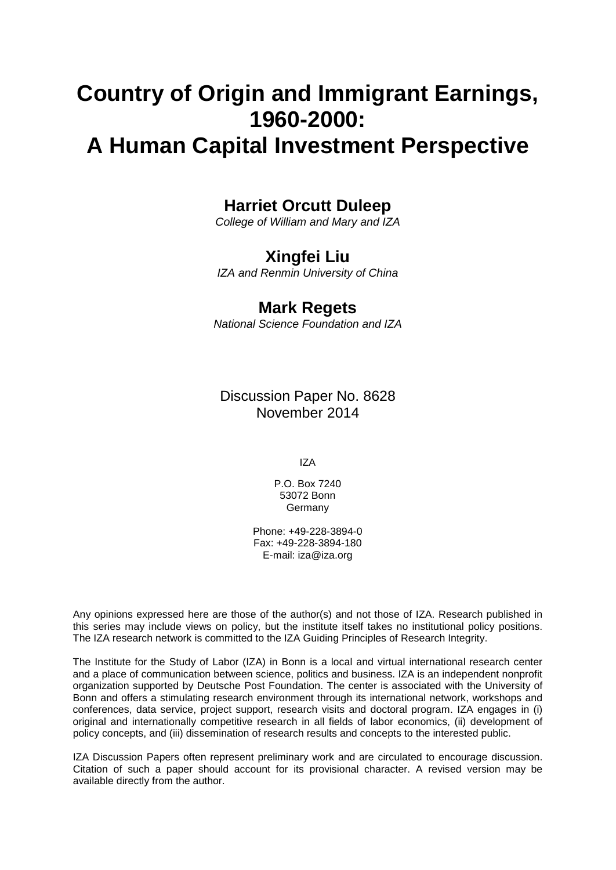# **Country of Origin and Immigrant Earnings, 1960-2000:**

## **A Human Capital Investment Perspective**

## **Harriet Orcutt Duleep**

*College of William and Mary and IZA*

## **Xingfei Liu**

*IZA and Renmin University of China*

## **Mark Regets**

*National Science Foundation and IZA*

Discussion Paper No. 8628 November 2014

IZA

P.O. Box 7240 53072 Bonn **Germany** 

Phone: +49-228-3894-0 Fax: +49-228-3894-180 E-mail: [iza@iza.org](mailto:iza@iza.org)

Any opinions expressed here are those of the author(s) and not those of IZA. Research published in this series may include views on policy, but the institute itself takes no institutional policy positions. The IZA research network is committed to the IZA Guiding Principles of Research Integrity.

The Institute for the Study of Labor (IZA) in Bonn is a local and virtual international research center and a place of communication between science, politics and business. IZA is an independent nonprofit organization supported by Deutsche Post Foundation. The center is associated with the University of Bonn and offers a stimulating research environment through its international network, workshops and conferences, data service, project support, research visits and doctoral program. IZA engages in (i) original and internationally competitive research in all fields of labor economics, (ii) development of policy concepts, and (iii) dissemination of research results and concepts to the interested public.

<span id="page-1-0"></span>IZA Discussion Papers often represent preliminary work and are circulated to encourage discussion. Citation of such a paper should account for its provisional character. A revised version may be available directly from the author.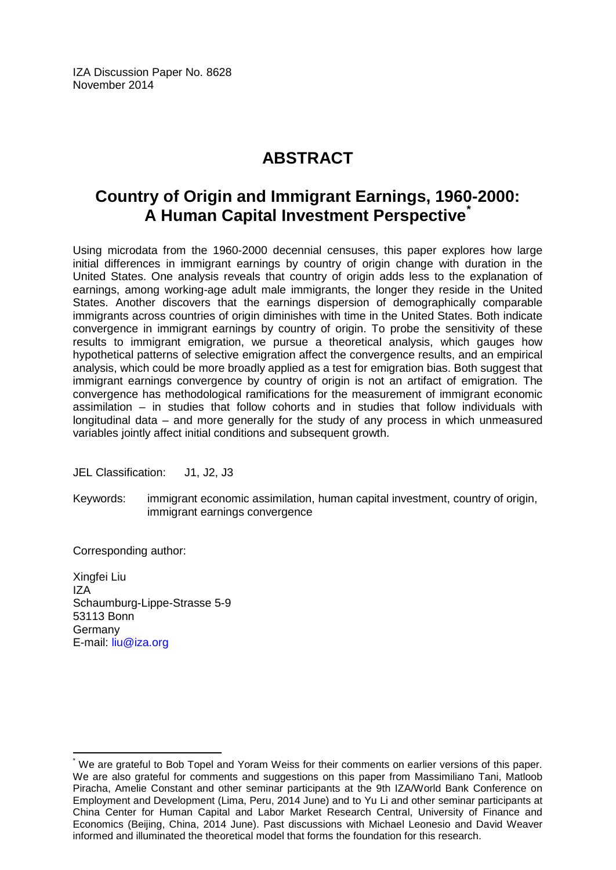IZA Discussion Paper No. 8628 November 2014

## **ABSTRACT**

## **Country of Origin and Immigrant Earnings, 1960-2000: A Human Capital Investment Perspective[\\*](#page-1-0)**

Using microdata from the 1960-2000 decennial censuses, this paper explores how large initial differences in immigrant earnings by country of origin change with duration in the United States. One analysis reveals that country of origin adds less to the explanation of earnings, among working-age adult male immigrants, the longer they reside in the United States. Another discovers that the earnings dispersion of demographically comparable immigrants across countries of origin diminishes with time in the United States. Both indicate convergence in immigrant earnings by country of origin. To probe the sensitivity of these results to immigrant emigration, we pursue a theoretical analysis, which gauges how hypothetical patterns of selective emigration affect the convergence results, and an empirical analysis, which could be more broadly applied as a test for emigration bias. Both suggest that immigrant earnings convergence by country of origin is not an artifact of emigration. The convergence has methodological ramifications for the measurement of immigrant economic assimilation – in studies that follow cohorts and in studies that follow individuals with longitudinal data – and more generally for the study of any process in which unmeasured variables jointly affect initial conditions and subsequent growth.

JEL Classification: J1, J2, J3

Keywords: immigrant economic assimilation, human capital investment, country of origin, immigrant earnings convergence

Corresponding author:

Xingfei Liu IZA Schaumburg-Lippe-Strasse 5-9 53113 Bonn Germany E-mail: [liu@iza.org](mailto:liu@iza.org)

We are grateful to Bob Topel and Yoram Weiss for their comments on earlier versions of this paper. We are also grateful for comments and suggestions on this paper from Massimiliano Tani, Matloob Piracha, Amelie Constant and other seminar participants at the 9th IZA/World Bank Conference on Employment and Development (Lima, Peru, 2014 June) and to Yu Li and other seminar participants at China Center for Human Capital and Labor Market Research Central, University of Finance and Economics (Beijing, China, 2014 June). Past discussions with Michael Leonesio and David Weaver informed and illuminated the theoretical model that forms the foundation for this research.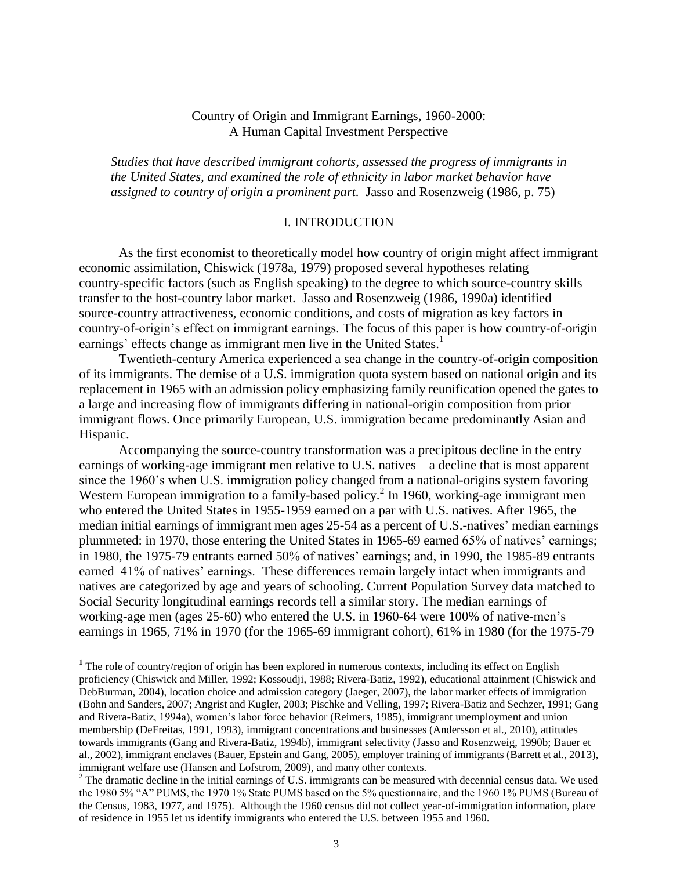#### Country of Origin and Immigrant Earnings, 1960-2000: A Human Capital Investment Perspective

*Studies that have described immigrant cohorts, assessed the progress of immigrants in the United States, and examined the role of ethnicity in labor market behavior have assigned to country of origin a prominent part.* Jasso and Rosenzweig (1986, p. 75)

#### I. INTRODUCTION

As the first economist to theoretically model how country of origin might affect immigrant economic assimilation, Chiswick (1978a, 1979) proposed several hypotheses relating country-specific factors (such as English speaking) to the degree to which source-country skills transfer to the host-country labor market. Jasso and Rosenzweig (1986, 1990a) identified source-country attractiveness, economic conditions, and costs of migration as key factors in country-of-origin's effect on immigrant earnings. The focus of this paper is how country-of-origin earnings' effects change as immigrant men live in the United States.<sup>1</sup>

Twentieth-century America experienced a sea change in the country-of-origin composition of its immigrants. The demise of a U.S. immigration quota system based on national origin and its replacement in 1965 with an admission policy emphasizing family reunification opened the gates to a large and increasing flow of immigrants differing in national-origin composition from prior immigrant flows. Once primarily European, U.S. immigration became predominantly Asian and Hispanic.

Accompanying the source-country transformation was a precipitous decline in the entry earnings of working-age immigrant men relative to U.S. natives—a decline that is most apparent since the 1960's when U.S. immigration policy changed from a national-origins system favoring Western European immigration to a family-based policy.<sup>2</sup> In 1960, working-age immigrant men who entered the United States in 1955-1959 earned on a par with U.S. natives. After 1965, the median initial earnings of immigrant men ages 25-54 as a percent of U.S.-natives' median earnings plummeted: in 1970, those entering the United States in 1965-69 earned 65% of natives' earnings; in 1980, the 1975-79 entrants earned 50% of natives' earnings; and, in 1990, the 1985-89 entrants earned 41% of natives' earnings. These differences remain largely intact when immigrants and natives are categorized by age and years of schooling. Current Population Survey data matched to Social Security longitudinal earnings records tell a similar story. The median earnings of working-age men (ages 25-60) who entered the U.S. in 1960-64 were 100% of native-men's earnings in 1965, 71% in 1970 (for the 1965-69 immigrant cohort), 61% in 1980 (for the 1975-79

<sup>&</sup>lt;sup>1</sup> The role of country/region of origin has been explored in numerous contexts, including its effect on English proficiency (Chiswick and Miller, 1992; Kossoudji, 1988; Rivera-Batiz, 1992), educational attainment (Chiswick and DebBurman, 2004), location choice and admission category (Jaeger, 2007), the labor market effects of immigration (Bohn and Sanders, 2007; Angrist and Kugler, 2003; Pischke and Velling, 1997; Rivera-Batiz and Sechzer, 1991; Gang and Rivera-Batiz, 1994a), women's labor force behavior (Reimers, 1985), immigrant unemployment and union membership (DeFreitas, 1991, 1993), immigrant concentrations and businesses (Andersson et al., 2010), attitudes towards immigrants (Gang and Rivera-Batiz, 1994b), immigrant selectivity (Jasso and Rosenzweig, 1990b; Bauer et al., 2002), immigrant enclaves (Bauer, Epstein and Gang, 2005), employer training of immigrants (Barrett et al., 2013), immigrant welfare use (Hansen and Lofstrom, 2009), and many other contexts.

 $2^2$  The dramatic decline in the initial earnings of U.S. immigrants can be measured with decennial census data. We used the 1980 5% "A" PUMS, the 1970 1% State PUMS based on the 5% questionnaire, and the 1960 1% PUMS (Bureau of the Census, 1983, 1977, and 1975). Although the 1960 census did not collect year-of-immigration information, place of residence in 1955 let us identify immigrants who entered the U.S. between 1955 and 1960.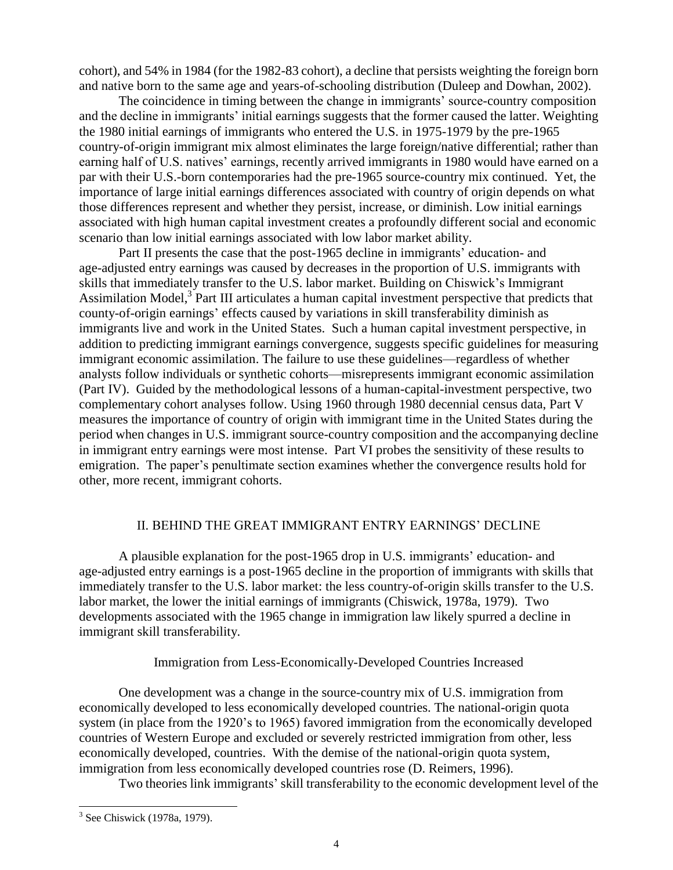cohort), and 54% in 1984 (for the 1982-83 cohort), a decline that persists weighting the foreign born and native born to the same age and years-of-schooling distribution (Duleep and Dowhan, 2002).

The coincidence in timing between the change in immigrants' source-country composition and the decline in immigrants' initial earnings suggests that the former caused the latter. Weighting the 1980 initial earnings of immigrants who entered the U.S. in 1975-1979 by the pre-1965 country-of-origin immigrant mix almost eliminates the large foreign/native differential; rather than earning half of U.S. natives' earnings, recently arrived immigrants in 1980 would have earned on a par with their U.S.-born contemporaries had the pre-1965 source-country mix continued. Yet, the importance of large initial earnings differences associated with country of origin depends on what those differences represent and whether they persist, increase, or diminish. Low initial earnings associated with high human capital investment creates a profoundly different social and economic scenario than low initial earnings associated with low labor market ability.

Part II presents the case that the post-1965 decline in immigrants' education- and age-adjusted entry earnings was caused by decreases in the proportion of U.S. immigrants with skills that immediately transfer to the U.S. labor market. Building on Chiswick's Immigrant Assimilation Model,<sup>3</sup> Part III articulates a human capital investment perspective that predicts that county-of-origin earnings' effects caused by variations in skill transferability diminish as immigrants live and work in the United States. Such a human capital investment perspective, in addition to predicting immigrant earnings convergence, suggests specific guidelines for measuring immigrant economic assimilation. The failure to use these guidelines—regardless of whether analysts follow individuals or synthetic cohorts—misrepresents immigrant economic assimilation (Part IV). Guided by the methodological lessons of a human-capital-investment perspective, two complementary cohort analyses follow. Using 1960 through 1980 decennial census data, Part V measures the importance of country of origin with immigrant time in the United States during the period when changes in U.S. immigrant source-country composition and the accompanying decline in immigrant entry earnings were most intense. Part VI probes the sensitivity of these results to emigration. The paper's penultimate section examines whether the convergence results hold for other, more recent, immigrant cohorts.

#### II. BEHIND THE GREAT IMMIGRANT ENTRY EARNINGS' DECLINE

A plausible explanation for the post-1965 drop in U.S. immigrants' education- and age-adjusted entry earnings is a post-1965 decline in the proportion of immigrants with skills that immediately transfer to the U.S. labor market: the less country-of-origin skills transfer to the U.S. labor market, the lower the initial earnings of immigrants (Chiswick, 1978a, 1979). Two developments associated with the 1965 change in immigration law likely spurred a decline in immigrant skill transferability.

#### Immigration from Less-Economically-Developed Countries Increased

One development was a change in the source-country mix of U.S. immigration from economically developed to less economically developed countries. The national-origin quota system (in place from the 1920's to 1965) favored immigration from the economically developed countries of Western Europe and excluded or severely restricted immigration from other, less economically developed, countries. With the demise of the national-origin quota system, immigration from less economically developed countries rose (D. Reimers, 1996).

Two theories link immigrants' skill transferability to the economic development level of the

<sup>&</sup>lt;sup>3</sup> See Chiswick (1978a, 1979).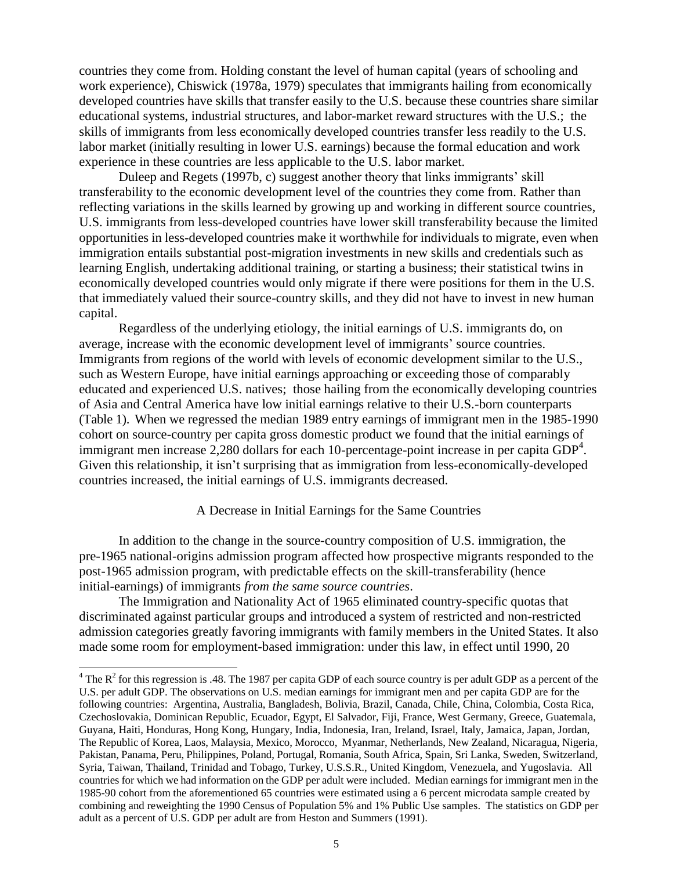countries they come from. Holding constant the level of human capital (years of schooling and work experience), Chiswick (1978a, 1979) speculates that immigrants hailing from economically developed countries have skills that transfer easily to the U.S. because these countries share similar educational systems, industrial structures, and labor-market reward structures with the U.S.; the skills of immigrants from less economically developed countries transfer less readily to the U.S. labor market (initially resulting in lower U.S. earnings) because the formal education and work experience in these countries are less applicable to the U.S. labor market.

Duleep and Regets (1997b, c) suggest another theory that links immigrants' skill transferability to the economic development level of the countries they come from. Rather than reflecting variations in the skills learned by growing up and working in different source countries, U.S. immigrants from less-developed countries have lower skill transferability because the limited opportunities in less-developed countries make it worthwhile for individuals to migrate, even when immigration entails substantial post-migration investments in new skills and credentials such as learning English, undertaking additional training, or starting a business; their statistical twins in economically developed countries would only migrate if there were positions for them in the U.S. that immediately valued their source-country skills, and they did not have to invest in new human capital.

Regardless of the underlying etiology, the initial earnings of U.S. immigrants do, on average, increase with the economic development level of immigrants' source countries. Immigrants from regions of the world with levels of economic development similar to the U.S., such as Western Europe, have initial earnings approaching or exceeding those of comparably educated and experienced U.S. natives; those hailing from the economically developing countries of Asia and Central America have low initial earnings relative to their U.S.-born counterparts (Table 1). When we regressed the median 1989 entry earnings of immigrant men in the 1985-1990 cohort on source-country per capita gross domestic product we found that the initial earnings of immigrant men increase  $2,280$  dollars for each 10-percentage-point increase in per capita  $\overline{GDP}^4$ . Given this relationship, it isn't surprising that as immigration from less-economically-developed countries increased, the initial earnings of U.S. immigrants decreased.

#### A Decrease in Initial Earnings for the Same Countries

In addition to the change in the source-country composition of U.S. immigration, the pre-1965 national-origins admission program affected how prospective migrants responded to the post-1965 admission program, with predictable effects on the skill-transferability (hence initial-earnings) of immigrants *from the same source countries*.

The Immigration and Nationality Act of 1965 eliminated country-specific quotas that discriminated against particular groups and introduced a system of restricted and non-restricted admission categories greatly favoring immigrants with family members in the United States. It also made some room for employment-based immigration: under this law, in effect until 1990, 20

 $\overline{\phantom{a}}$ 

<sup>&</sup>lt;sup>4</sup> The  $R^2$  for this regression is .48. The 1987 per capita GDP of each source country is per adult GDP as a percent of the U.S. per adult GDP. The observations on U.S. median earnings for immigrant men and per capita GDP are for the following countries: Argentina, Australia, Bangladesh, Bolivia, Brazil, Canada, Chile, China, Colombia, Costa Rica, Czechoslovakia, Dominican Republic, Ecuador, Egypt, El Salvador, Fiji, France, West Germany, Greece, Guatemala, Guyana, Haiti, Honduras, Hong Kong, Hungary, India, Indonesia, Iran, Ireland, Israel, Italy, Jamaica, Japan, Jordan, The Republic of Korea, Laos, Malaysia, Mexico, Morocco, Myanmar, Netherlands, New Zealand, Nicaragua, Nigeria, Pakistan, Panama, Peru, Philippines, Poland, Portugal, Romania, South Africa, Spain, Sri Lanka, Sweden, Switzerland, Syria, Taiwan, Thailand, Trinidad and Tobago, Turkey, U.S.S.R., United Kingdom, Venezuela, and Yugoslavia. All countries for which we had information on the GDP per adult were included. Median earnings for immigrant men in the 1985-90 cohort from the aforementioned 65 countries were estimated using a 6 percent microdata sample created by combining and reweighting the 1990 Census of Population 5% and 1% Public Use samples. The statistics on GDP per adult as a percent of U.S. GDP per adult are from Heston and Summers (1991).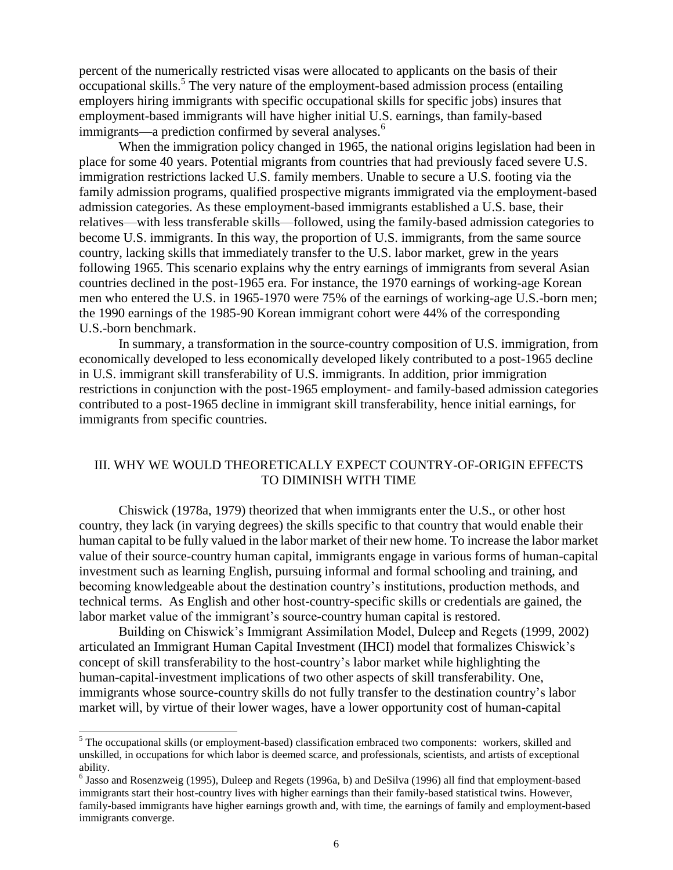percent of the numerically restricted visas were allocated to applicants on the basis of their occupational skills.<sup>5</sup> The very nature of the employment-based admission process (entailing employers hiring immigrants with specific occupational skills for specific jobs) insures that employment-based immigrants will have higher initial U.S. earnings, than family-based immigrants—a prediction confirmed by several analyses.<sup>6</sup>

When the immigration policy changed in 1965, the national origins legislation had been in place for some 40 years. Potential migrants from countries that had previously faced severe U.S. immigration restrictions lacked U.S. family members. Unable to secure a U.S. footing via the family admission programs, qualified prospective migrants immigrated via the employment-based admission categories. As these employment-based immigrants established a U.S. base, their relatives—with less transferable skills—followed, using the family-based admission categories to become U.S. immigrants. In this way, the proportion of U.S. immigrants, from the same source country, lacking skills that immediately transfer to the U.S. labor market, grew in the years following 1965. This scenario explains why the entry earnings of immigrants from several Asian countries declined in the post-1965 era. For instance, the 1970 earnings of working-age Korean men who entered the U.S. in 1965-1970 were 75% of the earnings of working-age U.S.-born men; the 1990 earnings of the 1985-90 Korean immigrant cohort were 44% of the corresponding U.S.-born benchmark.

In summary, a transformation in the source-country composition of U.S. immigration, from economically developed to less economically developed likely contributed to a post-1965 decline in U.S. immigrant skill transferability of U.S. immigrants. In addition, prior immigration restrictions in conjunction with the post-1965 employment- and family-based admission categories contributed to a post-1965 decline in immigrant skill transferability, hence initial earnings, for immigrants from specific countries.

#### III. WHY WE WOULD THEORETICALLY EXPECT COUNTRY-OF-ORIGIN EFFECTS TO DIMINISH WITH TIME

Chiswick (1978a, 1979) theorized that when immigrants enter the U.S., or other host country, they lack (in varying degrees) the skills specific to that country that would enable their human capital to be fully valued in the labor market of their new home. To increase the labor market value of their source-country human capital, immigrants engage in various forms of human-capital investment such as learning English, pursuing informal and formal schooling and training, and becoming knowledgeable about the destination country's institutions, production methods, and technical terms. As English and other host-country-specific skills or credentials are gained, the labor market value of the immigrant's source-country human capital is restored.

Building on Chiswick's Immigrant Assimilation Model, Duleep and Regets (1999, 2002) articulated an Immigrant Human Capital Investment (IHCI) model that formalizes Chiswick's concept of skill transferability to the host-country's labor market while highlighting the human-capital-investment implications of two other aspects of skill transferability. One, immigrants whose source-country skills do not fully transfer to the destination country's labor market will, by virtue of their lower wages, have a lower opportunity cost of human-capital

<sup>&</sup>lt;sup>5</sup> The occupational skills (or employment-based) classification embraced two components: workers, skilled and unskilled, in occupations for which labor is deemed scarce, and professionals, scientists, and artists of exceptional ability.

<sup>&</sup>lt;sup>6</sup> Jasso and Rosenzweig (1995), Duleep and Regets (1996a, b) and DeSilva (1996) all find that employment-based immigrants start their host-country lives with higher earnings than their family-based statistical twins. However, family-based immigrants have higher earnings growth and, with time, the earnings of family and employment-based immigrants converge.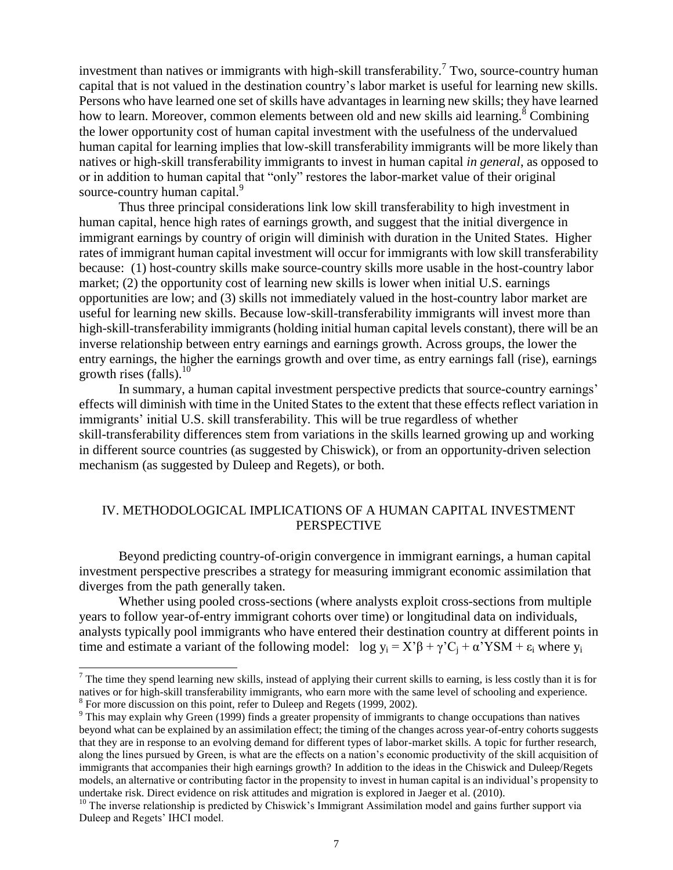investment than natives or immigrants with high-skill transferability.<sup>7</sup> Two, source-country human capital that is not valued in the destination country's labor market is useful for learning new skills. Persons who have learned one set of skills have advantages in learning new skills; they have learned how to learn. Moreover, common elements between old and new skills aid learning.<sup>8</sup> Combining the lower opportunity cost of human capital investment with the usefulness of the undervalued human capital for learning implies that low-skill transferability immigrants will be more likely than natives or high-skill transferability immigrants to invest in human capital *in general*, as opposed to or in addition to human capital that "only" restores the labor-market value of their original source-country human capital.<sup>9</sup>

Thus three principal considerations link low skill transferability to high investment in human capital, hence high rates of earnings growth, and suggest that the initial divergence in immigrant earnings by country of origin will diminish with duration in the United States. Higher rates of immigrant human capital investment will occur for immigrants with low skill transferability because: (1) host-country skills make source-country skills more usable in the host-country labor market; (2) the opportunity cost of learning new skills is lower when initial U.S. earnings opportunities are low; and (3) skills not immediately valued in the host-country labor market are useful for learning new skills. Because low-skill-transferability immigrants will invest more than high-skill-transferability immigrants (holding initial human capital levels constant), there will be an inverse relationship between entry earnings and earnings growth. Across groups, the lower the entry earnings, the higher the earnings growth and over time, as entry earnings fall (rise), earnings growth rises (falls). $^{10}$ 

In summary, a human capital investment perspective predicts that source-country earnings' effects will diminish with time in the United States to the extent that these effects reflect variation in immigrants' initial U.S. skill transferability. This will be true regardless of whether skill-transferability differences stem from variations in the skills learned growing up and working in different source countries (as suggested by Chiswick), or from an opportunity-driven selection mechanism (as suggested by Duleep and Regets), or both.

#### IV. METHODOLOGICAL IMPLICATIONS OF A HUMAN CAPITAL INVESTMENT PERSPECTIVE

Beyond predicting country-of-origin convergence in immigrant earnings, a human capital investment perspective prescribes a strategy for measuring immigrant economic assimilation that diverges from the path generally taken.

Whether using pooled cross-sections (where analysts exploit cross-sections from multiple years to follow year-of-entry immigrant cohorts over time) or longitudinal data on individuals, analysts typically pool immigrants who have entered their destination country at different points in time and estimate a variant of the following model:  $\log y_i = X'\beta + \gamma'C_i + \alpha'YSM + \epsilon_i$  where  $y_i$ 

 $\overline{\phantom{a}}$ 

 $^7$  The time they spend learning new skills, instead of applying their current skills to earning, is less costly than it is for natives or for high-skill transferability immigrants, who earn more with the same level of schooling and experience. <sup>8</sup> For more discussion on this point, refer to Duleep and Regets (1999, 2002).

<sup>&</sup>lt;sup>9</sup> This may explain why Green (1999) finds a greater propensity of immigrants to change occupations than natives beyond what can be explained by an assimilation effect; the timing of the changes across year-of-entry cohorts suggests that they are in response to an evolving demand for different types of labor-market skills. A topic for further research, along the lines pursued by Green, is what are the effects on a nation's economic productivity of the skill acquisition of immigrants that accompanies their high earnings growth? In addition to the ideas in the Chiswick and Duleep/Regets models, an alternative or contributing factor in the propensity to invest in human capital is an individual's propensity to undertake risk. Direct evidence on risk attitudes and migration is explored in Jaeger et al. (2010).

<sup>&</sup>lt;sup>10</sup> The inverse relationship is predicted by Chiswick's Immigrant Assimilation model and gains further support via Duleep and Regets' IHCI model.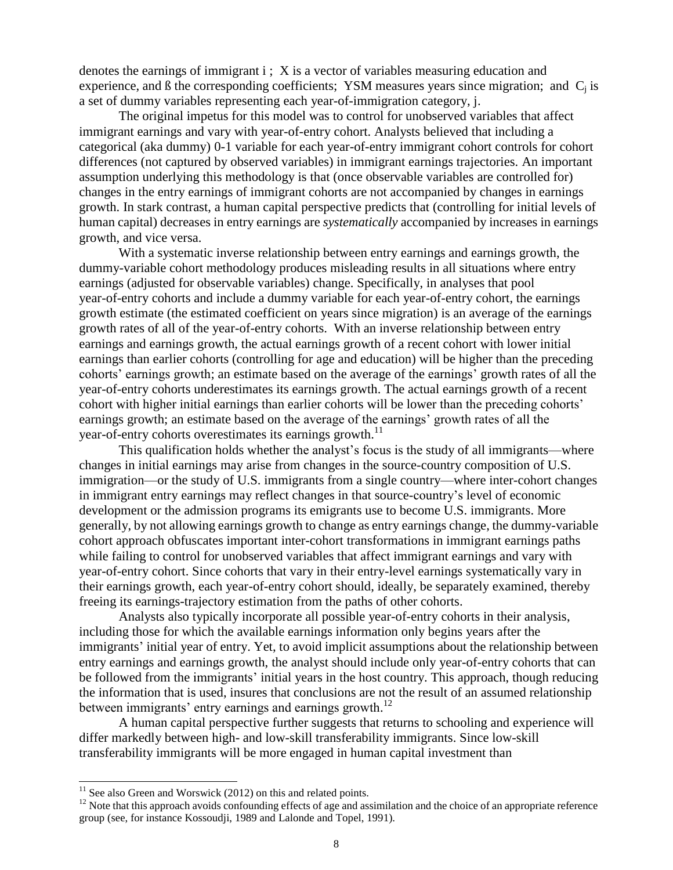denotes the earnings of immigrant i; X is a vector of variables measuring education and experience, and  $\beta$  the corresponding coefficients; YSM measures years since migration; and  $C_i$  is a set of dummy variables representing each year-of-immigration category, j.

The original impetus for this model was to control for unobserved variables that affect immigrant earnings and vary with year-of-entry cohort. Analysts believed that including a categorical (aka dummy) 0-1 variable for each year-of-entry immigrant cohort controls for cohort differences (not captured by observed variables) in immigrant earnings trajectories. An important assumption underlying this methodology is that (once observable variables are controlled for) changes in the entry earnings of immigrant cohorts are not accompanied by changes in earnings growth. In stark contrast, a human capital perspective predicts that (controlling for initial levels of human capital) decreases in entry earnings are *systematically* accompanied by increases in earnings growth, and vice versa.

With a systematic inverse relationship between entry earnings and earnings growth, the dummy-variable cohort methodology produces misleading results in all situations where entry earnings (adjusted for observable variables) change. Specifically, in analyses that pool year-of-entry cohorts and include a dummy variable for each year-of-entry cohort, the earnings growth estimate (the estimated coefficient on years since migration) is an average of the earnings growth rates of all of the year-of-entry cohorts. With an inverse relationship between entry earnings and earnings growth, the actual earnings growth of a recent cohort with lower initial earnings than earlier cohorts (controlling for age and education) will be higher than the preceding cohorts' earnings growth; an estimate based on the average of the earnings' growth rates of all the year-of-entry cohorts underestimates its earnings growth. The actual earnings growth of a recent cohort with higher initial earnings than earlier cohorts will be lower than the preceding cohorts' earnings growth; an estimate based on the average of the earnings' growth rates of all the year-of-entry cohorts overestimates its earnings growth.<sup>11</sup>

This qualification holds whether the analyst's focus is the study of all immigrants—where changes in initial earnings may arise from changes in the source-country composition of U.S. immigration—or the study of U.S. immigrants from a single country—where inter-cohort changes in immigrant entry earnings may reflect changes in that source-country's level of economic development or the admission programs its emigrants use to become U.S. immigrants. More generally, by not allowing earnings growth to change as entry earnings change, the dummy-variable cohort approach obfuscates important inter-cohort transformations in immigrant earnings paths while failing to control for unobserved variables that affect immigrant earnings and vary with year-of-entry cohort. Since cohorts that vary in their entry-level earnings systematically vary in their earnings growth, each year-of-entry cohort should, ideally, be separately examined, thereby freeing its earnings-trajectory estimation from the paths of other cohorts.

Analysts also typically incorporate all possible year-of-entry cohorts in their analysis, including those for which the available earnings information only begins years after the immigrants' initial year of entry. Yet, to avoid implicit assumptions about the relationship between entry earnings and earnings growth, the analyst should include only year-of-entry cohorts that can be followed from the immigrants' initial years in the host country. This approach, though reducing the information that is used, insures that conclusions are not the result of an assumed relationship between immigrants' entry earnings and earnings growth.<sup>12</sup>

A human capital perspective further suggests that returns to schooling and experience will differ markedly between high- and low-skill transferability immigrants. Since low-skill transferability immigrants will be more engaged in human capital investment than

 $11$  See also Green and Worswick (2012) on this and related points.

 $12$  Note that this approach avoids confounding effects of age and assimilation and the choice of an appropriate reference group (see, for instance Kossoudji, 1989 and Lalonde and Topel, 1991).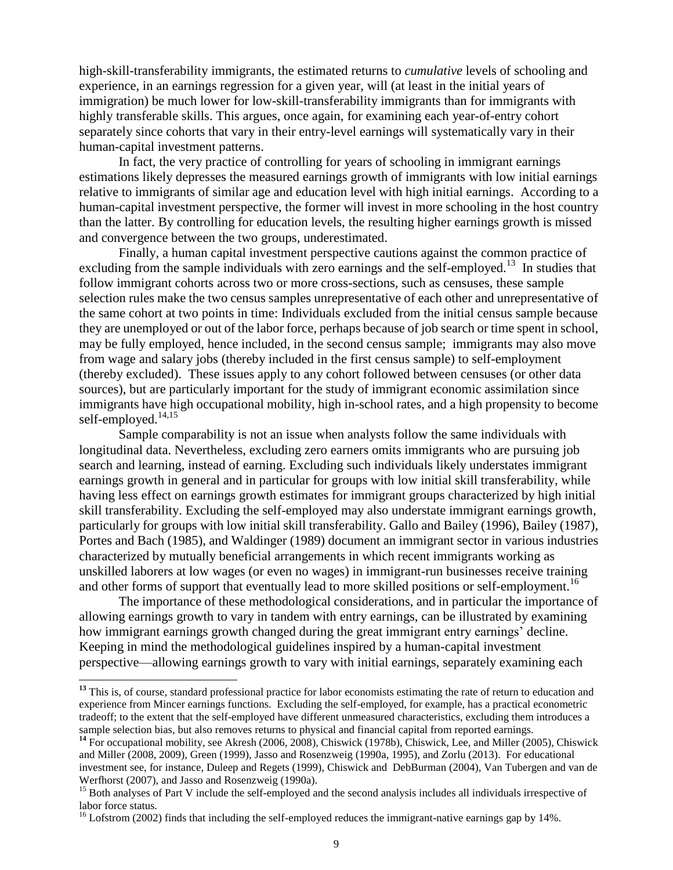high-skill-transferability immigrants, the estimated returns to *cumulative* levels of schooling and experience, in an earnings regression for a given year, will (at least in the initial years of immigration) be much lower for low-skill-transferability immigrants than for immigrants with highly transferable skills. This argues, once again, for examining each year-of-entry cohort separately since cohorts that vary in their entry-level earnings will systematically vary in their human-capital investment patterns.

In fact, the very practice of controlling for years of schooling in immigrant earnings estimations likely depresses the measured earnings growth of immigrants with low initial earnings relative to immigrants of similar age and education level with high initial earnings. According to a human-capital investment perspective, the former will invest in more schooling in the host country than the latter. By controlling for education levels, the resulting higher earnings growth is missed and convergence between the two groups, underestimated.

Finally, a human capital investment perspective cautions against the common practice of excluding from the sample individuals with zero earnings and the self-employed.<sup>13</sup> In studies that follow immigrant cohorts across two or more cross-sections, such as censuses, these sample selection rules make the two census samples unrepresentative of each other and unrepresentative of the same cohort at two points in time: Individuals excluded from the initial census sample because they are unemployed or out of the labor force, perhaps because of job search or time spent in school, may be fully employed, hence included, in the second census sample; immigrants may also move from wage and salary jobs (thereby included in the first census sample) to self-employment (thereby excluded). These issues apply to any cohort followed between censuses (or other data sources), but are particularly important for the study of immigrant economic assimilation since immigrants have high occupational mobility, high in-school rates, and a high propensity to become self-employed.<sup>14,15</sup>

Sample comparability is not an issue when analysts follow the same individuals with longitudinal data. Nevertheless, excluding zero earners omits immigrants who are pursuing job search and learning, instead of earning. Excluding such individuals likely understates immigrant earnings growth in general and in particular for groups with low initial skill transferability, while having less effect on earnings growth estimates for immigrant groups characterized by high initial skill transferability. Excluding the self-employed may also understate immigrant earnings growth, particularly for groups with low initial skill transferability. Gallo and Bailey (1996), Bailey (1987), Portes and Bach (1985), and Waldinger (1989) document an immigrant sector in various industries characterized by mutually beneficial arrangements in which recent immigrants working as unskilled laborers at low wages (or even no wages) in immigrant-run businesses receive training and other forms of support that eventually lead to more skilled positions or self-employment.<sup>16</sup>

The importance of these methodological considerations, and in particular the importance of allowing earnings growth to vary in tandem with entry earnings, can be illustrated by examining how immigrant earnings growth changed during the great immigrant entry earnings' decline. Keeping in mind the methodological guidelines inspired by a human-capital investment perspective—allowing earnings growth to vary with initial earnings, separately examining each

<sup>&</sup>lt;sup>13</sup> This is, of course, standard professional practice for labor economists estimating the rate of return to education and experience from Mincer earnings functions. Excluding the self-employed, for example, has a practical econometric tradeoff; to the extent that the self-employed have different unmeasured characteristics, excluding them introduces a sample selection bias, but also removes returns to physical and financial capital from reported earnings.

<sup>&</sup>lt;sup>14</sup> For occupational mobility, see Akresh (2006, 2008), Chiswick (1978b), Chiswick, Lee, and Miller (2005), Chiswick and Miller (2008, 2009), Green (1999), Jasso and Rosenzweig (1990a, 1995), and Zorlu (2013). For educational investment see, for instance, Duleep and Regets (1999), Chiswick and DebBurman (2004), Van Tubergen and van de Werfhorst (2007), and Jasso and Rosenzweig (1990a).

<sup>&</sup>lt;sup>15</sup> Both analyses of Part V include the self-employed and the second analysis includes all individuals irrespective of labor force status.

<sup>&</sup>lt;sup>16</sup> Lofstrom (2002) finds that including the self-employed reduces the immigrant-native earnings gap by 14%.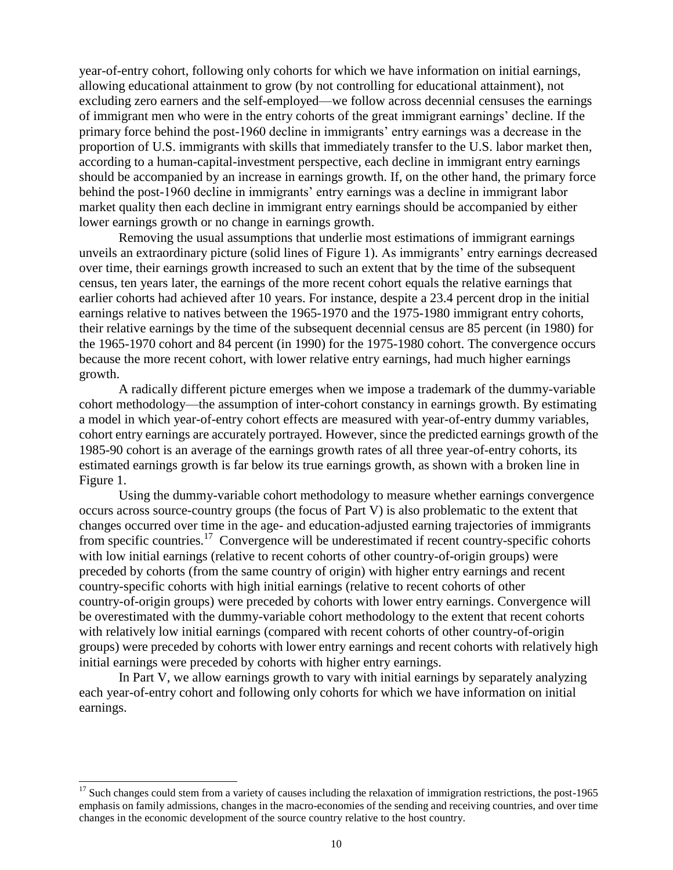year-of-entry cohort, following only cohorts for which we have information on initial earnings, allowing educational attainment to grow (by not controlling for educational attainment), not excluding zero earners and the self-employed—we follow across decennial censuses the earnings of immigrant men who were in the entry cohorts of the great immigrant earnings' decline. If the primary force behind the post-1960 decline in immigrants' entry earnings was a decrease in the proportion of U.S. immigrants with skills that immediately transfer to the U.S. labor market then, according to a human-capital-investment perspective, each decline in immigrant entry earnings should be accompanied by an increase in earnings growth. If, on the other hand, the primary force behind the post-1960 decline in immigrants' entry earnings was a decline in immigrant labor market quality then each decline in immigrant entry earnings should be accompanied by either lower earnings growth or no change in earnings growth.

Removing the usual assumptions that underlie most estimations of immigrant earnings unveils an extraordinary picture (solid lines of Figure 1). As immigrants' entry earnings decreased over time, their earnings growth increased to such an extent that by the time of the subsequent census, ten years later, the earnings of the more recent cohort equals the relative earnings that earlier cohorts had achieved after 10 years. For instance, despite a 23.4 percent drop in the initial earnings relative to natives between the 1965-1970 and the 1975-1980 immigrant entry cohorts, their relative earnings by the time of the subsequent decennial census are 85 percent (in 1980) for the 1965-1970 cohort and 84 percent (in 1990) for the 1975-1980 cohort. The convergence occurs because the more recent cohort, with lower relative entry earnings, had much higher earnings growth.

A radically different picture emerges when we impose a trademark of the dummy-variable cohort methodology—the assumption of inter-cohort constancy in earnings growth. By estimating a model in which year-of-entry cohort effects are measured with year-of-entry dummy variables, cohort entry earnings are accurately portrayed. However, since the predicted earnings growth of the 1985-90 cohort is an average of the earnings growth rates of all three year-of-entry cohorts, its estimated earnings growth is far below its true earnings growth, as shown with a broken line in Figure 1.

Using the dummy-variable cohort methodology to measure whether earnings convergence occurs across source-country groups (the focus of Part V) is also problematic to the extent that changes occurred over time in the age- and education-adjusted earning trajectories of immigrants from specific countries.<sup>17</sup> Convergence will be underestimated if recent country-specific cohorts with low initial earnings (relative to recent cohorts of other country-of-origin groups) were preceded by cohorts (from the same country of origin) with higher entry earnings and recent country-specific cohorts with high initial earnings (relative to recent cohorts of other country-of-origin groups) were preceded by cohorts with lower entry earnings. Convergence will be overestimated with the dummy-variable cohort methodology to the extent that recent cohorts with relatively low initial earnings (compared with recent cohorts of other country-of-origin groups) were preceded by cohorts with lower entry earnings and recent cohorts with relatively high initial earnings were preceded by cohorts with higher entry earnings.

In Part V, we allow earnings growth to vary with initial earnings by separately analyzing each year-of-entry cohort and following only cohorts for which we have information on initial earnings.

 $17$  Such changes could stem from a variety of causes including the relaxation of immigration restrictions, the post-1965 emphasis on family admissions, changes in the macro-economies of the sending and receiving countries, and over time changes in the economic development of the source country relative to the host country.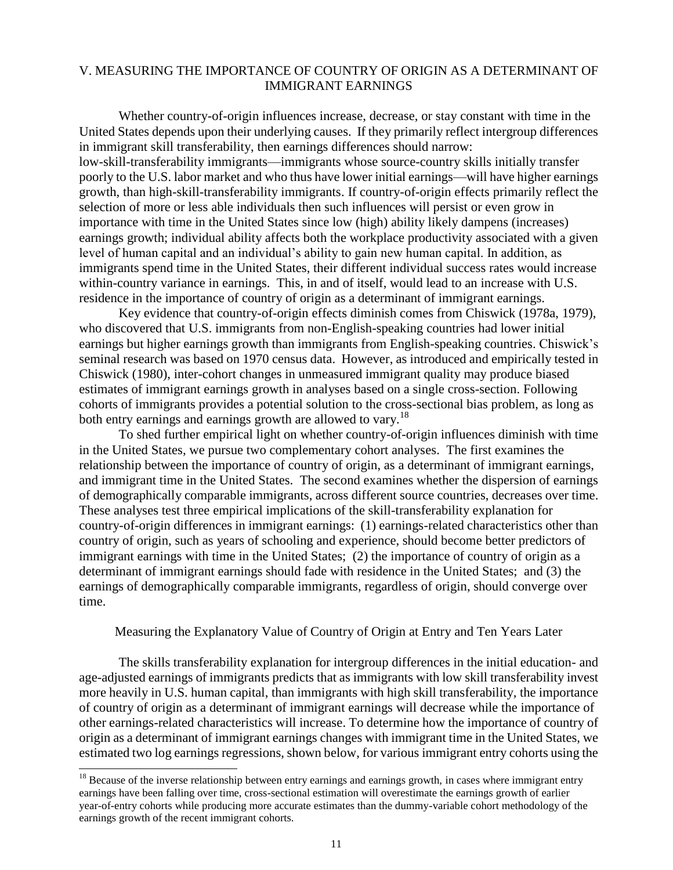#### V. MEASURING THE IMPORTANCE OF COUNTRY OF ORIGIN AS A DETERMINANT OF IMMIGRANT EARNINGS

Whether country-of-origin influences increase, decrease, or stay constant with time in the United States depends upon their underlying causes. If they primarily reflect intergroup differences in immigrant skill transferability, then earnings differences should narrow: low-skill-transferability immigrants—immigrants whose source-country skills initially transfer poorly to the U.S. labor market and who thus have lower initial earnings—will have higher earnings growth, than high-skill-transferability immigrants. If country-of-origin effects primarily reflect the selection of more or less able individuals then such influences will persist or even grow in importance with time in the United States since low (high) ability likely dampens (increases) earnings growth; individual ability affects both the workplace productivity associated with a given level of human capital and an individual's ability to gain new human capital. In addition, as immigrants spend time in the United States, their different individual success rates would increase within-country variance in earnings. This, in and of itself, would lead to an increase with U.S. residence in the importance of country of origin as a determinant of immigrant earnings.

Key evidence that country-of-origin effects diminish comes from Chiswick (1978a, 1979), who discovered that U.S. immigrants from non-English-speaking countries had lower initial earnings but higher earnings growth than immigrants from English-speaking countries. Chiswick's seminal research was based on 1970 census data. However, as introduced and empirically tested in Chiswick (1980), inter-cohort changes in unmeasured immigrant quality may produce biased estimates of immigrant earnings growth in analyses based on a single cross-section. Following cohorts of immigrants provides a potential solution to the cross-sectional bias problem, as long as both entry earnings and earnings growth are allowed to vary.<sup>18</sup>

To shed further empirical light on whether country-of-origin influences diminish with time in the United States, we pursue two complementary cohort analyses. The first examines the relationship between the importance of country of origin, as a determinant of immigrant earnings, and immigrant time in the United States. The second examines whether the dispersion of earnings of demographically comparable immigrants, across different source countries, decreases over time. These analyses test three empirical implications of the skill-transferability explanation for country-of-origin differences in immigrant earnings: (1) earnings-related characteristics other than country of origin, such as years of schooling and experience, should become better predictors of immigrant earnings with time in the United States; (2) the importance of country of origin as a determinant of immigrant earnings should fade with residence in the United States; and (3) the earnings of demographically comparable immigrants, regardless of origin, should converge over time.

Measuring the Explanatory Value of Country of Origin at Entry and Ten Years Later

The skills transferability explanation for intergroup differences in the initial education- and age-adjusted earnings of immigrants predicts that as immigrants with low skill transferability invest more heavily in U.S. human capital, than immigrants with high skill transferability, the importance of country of origin as a determinant of immigrant earnings will decrease while the importance of other earnings-related characteristics will increase. To determine how the importance of country of origin as a determinant of immigrant earnings changes with immigrant time in the United States, we estimated two log earnings regressions, shown below, for various immigrant entry cohorts using the

 $18$  Because of the inverse relationship between entry earnings and earnings growth, in cases where immigrant entry earnings have been falling over time, cross-sectional estimation will overestimate the earnings growth of earlier year-of-entry cohorts while producing more accurate estimates than the dummy-variable cohort methodology of the earnings growth of the recent immigrant cohorts.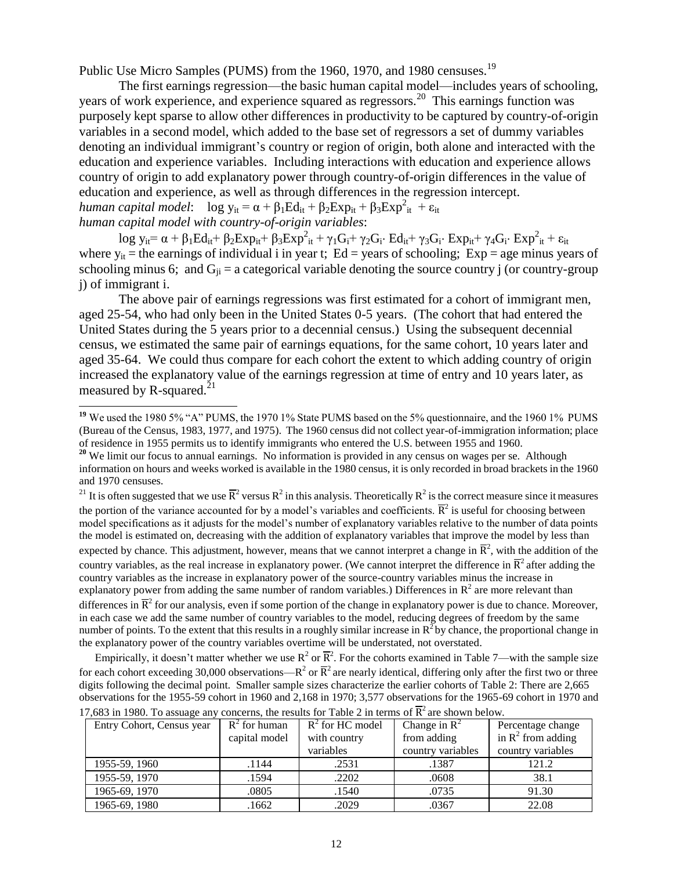Public Use Micro Samples (PUMS) from the 1960, 1970, and 1980 censuses.<sup>19</sup>

The first earnings regression—the basic human capital model—includes years of schooling, years of work experience, and experience squared as regressors.<sup>20</sup> This earnings function was purposely kept sparse to allow other differences in productivity to be captured by country-of-origin variables in a second model, which added to the base set of regressors a set of dummy variables denoting an individual immigrant's country or region of origin, both alone and interacted with the education and experience variables. Including interactions with education and experience allows country of origin to add explanatory power through country-of-origin differences in the value of education and experience, as well as through differences in the regression intercept. *human capital model*:  $\log y_{it} = \alpha + \beta_1 Ed_{it} + \beta_2 Exp_{it} + \beta_3 Exp_{it}^2 + \epsilon_{it}$ 

*human capital model with country-of-origin variables*:

l

 $\log y_{it} = \alpha + \beta_1 Ed_{it} + \beta_2 Exp_{it} + \beta_3 Exp_{it}^2 + \gamma_1 G_i + \gamma_2 G_i \cdot Ed_{it} + \gamma_3 G_i \cdot Exp_{it} + \gamma_4 G_i \cdot Exp_{it}^2 + \epsilon_{it}$ where  $y_{it}$  = the earnings of individual i in year t; Ed = years of schooling; Exp = age minus years of schooling minus 6; and  $G_{ii}$  = a categorical variable denoting the source country j (or country-group j) of immigrant i.

The above pair of earnings regressions was first estimated for a cohort of immigrant men, aged 25-54, who had only been in the United States 0-5 years. (The cohort that had entered the United States during the 5 years prior to a decennial census.) Using the subsequent decennial census, we estimated the same pair of earnings equations, for the same cohort, 10 years later and aged 35-64. We could thus compare for each cohort the extent to which adding country of origin increased the explanatory value of the earnings regression at time of entry and 10 years later, as measured by R-squared.<sup>21</sup>

<sup>21</sup> It is often suggested that we use  $\overline{R}^2$  versus  $R^2$  in this analysis. Theoretically  $R^2$  is the correct measure since it measures the portion of the variance accounted for by a model's variables and coefficients.  $\overline{R}^2$  is useful for choosing between model specifications as it adjusts for the model's number of explanatory variables relative to the number of data points the model is estimated on, decreasing with the addition of explanatory variables that improve the model by less than expected by chance. This adjustment, however, means that we cannot interpret a change in  $\overline{R}^2$ , with the addition of the country variables, as the real increase in explanatory power. (We cannot interpret the difference in  $\overline{R}^2$  after adding the country variables as the increase in explanatory power of the source-country variables minus the increase in explanatory power from adding the same number of random variables.) Differences in  $\mathbb{R}^2$  are more relevant than differences in  $\overline{R}^2$  for our analysis, even if some portion of the change in explanatory power is due to chance. Moreover, in each case we add the same number of country variables to the model, reducing degrees of freedom by the same number of points. To the extent that this results in a roughly similar increase in  $R^2$  by chance, the proportional change in the explanatory power of the country variables overtime will be understated, not overstated.

Empirically, it doesn't matter whether we use  $R^2$  or  $\overline{R}^2$ . For the cohorts examined in Table 7—with the sample size for each cohort exceeding 30,000 observations— $R^2$  or  $\overline{R}^2$  are nearly identical, differing only after the first two or three digits following the decimal point. Smaller sample sizes characterize the earlier cohorts of Table 2: There are 2,665 observations for the 1955-59 cohort in 1960 and 2,168 in 1970; 3,577 observations for the 1965-69 cohort in 1970 and

| $\alpha$ , $\beta$ and $\beta$ are the contracted in the contracted of $\alpha$ and $\beta$ in terms of it are shown below. |                 |                    |                   |                               |
|-----------------------------------------------------------------------------------------------------------------------------|-----------------|--------------------|-------------------|-------------------------------|
| Entry Cohort, Census year                                                                                                   | $R^2$ for human | $R^2$ for HC model | Change in $R^2$   | Percentage change             |
|                                                                                                                             | capital model   | with country       | from adding       | in $\mathbb{R}^2$ from adding |
|                                                                                                                             |                 | variables          | country variables | country variables             |
| 1955-59, 1960                                                                                                               | .1144           | .2531              | .1387             | 121.2                         |
| 1955-59, 1970                                                                                                               | .1594           | .2202              | .0608             | 38.1                          |
| 1965-69, 1970                                                                                                               | .0805           | .1540              | .0735             | 91.30                         |
| 1965-69, 1980                                                                                                               | .1662           | .2029              | .0367             | 22.08                         |

17,683 in 1980. To assuage any concerns, the results for Table 2 in terms of  $\overline{R}^2$  are shown below.

<sup>&</sup>lt;sup>19</sup> We used the 1980 5% "A" PUMS, the 1970 1% State PUMS based on the 5% questionnaire, and the 1960 1% PUMS (Bureau of the Census, 1983, 1977, and 1975). The 1960 census did not collect year-of-immigration information; place of residence in 1955 permits us to identify immigrants who entered the U.S. between 1955 and 1960.

<sup>&</sup>lt;sup>20</sup> We limit our focus to annual earnings. No information is provided in any census on wages per se. Although information on hours and weeks worked is available in the 1980 census, it is only recorded in broad brackets in the 1960 and 1970 censuses.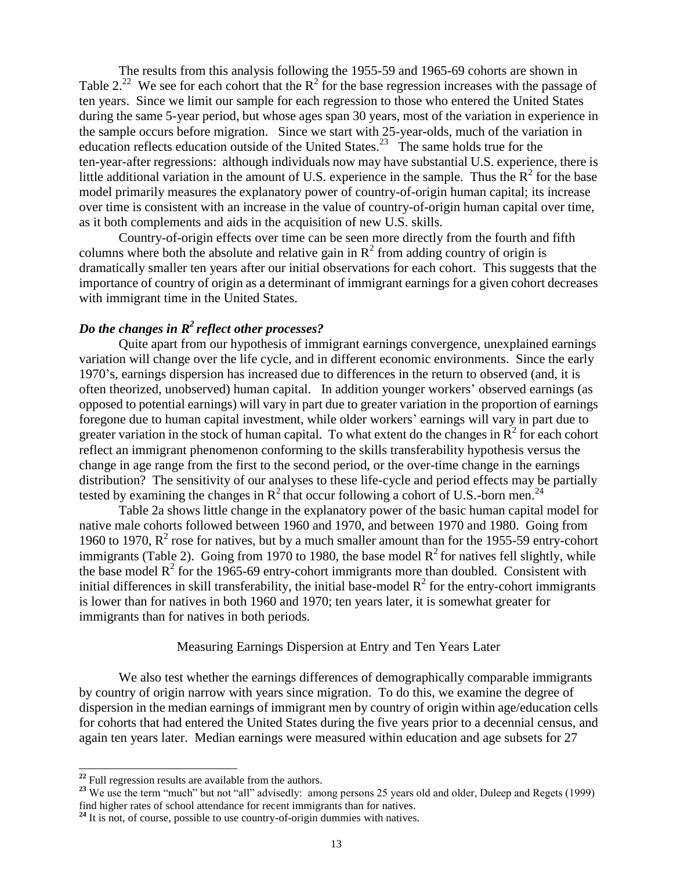The results from this analysis following the 1955-59 and 1965-69 cohorts are shown in Table 2.<sup>22</sup> We see for each cohort that the  $R^2$  for the base regression increases with the passage of ten years. Since we limit our sample for each regression to those who entered the United States during the same 5-year period, but whose ages span 30 years, most of the variation in experience in the sample occurs before migration. Since we start with 25-year-olds, much of the variation in education reflects education outside of the United States.<sup>23</sup> The same holds true for the ten-year-after regressions: although individuals now may have substantial U.S. experience, there is little additional variation in the amount of U.S. experience in the sample. Thus the  $R^2$  for the base model primarily measures the explanatory power of country-of-origin human capital; its increase over time is consistent with an increase in the value of country-of-origin human capital over time, as it both complements and aids in the acquisition of new U.S. skills.

Country-of-origin effects over time can be seen more directly from the fourth and fifth columns where both the absolute and relative gain in  $R^2$  from adding country of origin is dramatically smaller ten years after our initial observations for each cohort. This suggests that the importance of country of origin as a determinant of immigrant earnings for a given cohort decreases with immigrant time in the United States.

#### *Do the changes in R<sup>2</sup>reflect other processes?*

Quite apart from our hypothesis of immigrant earnings convergence, unexplained earnings variation will change over the life cycle, and in different economic environments. Since the early 1970's, earnings dispersion has increased due to differences in the return to observed (and, it is often theorized, unobserved) human capital. In addition younger workers' observed earnings (as opposed to potential earnings) will vary in part due to greater variation in the proportion of earnings foregone due to human capital investment, while older workers' earnings will vary in part due to greater variation in the stock of human capital. To what extent do the changes in  $\mathbb{R}^2$  for each cohort reflect an immigrant phenomenon conforming to the skills transferability hypothesis versus the change in age range from the first to the second period, or the over-time change in the earnings distribution? The sensitivity of our analyses to these life-cycle and period effects may be partially tested by examining the changes in  $R^2$  that occur following a cohort of U.S.-born men.<sup>24</sup>

Table 2a shows little change in the explanatory power of the basic human capital model for native male cohorts followed between 1960 and 1970, and between 1970 and 1980. Going from 1960 to 1970,  $R^2$  rose for natives, but by a much smaller amount than for the 1955-59 entry-cohort immigrants (Table 2). Going from 1970 to 1980, the base model  $R^2$  for natives fell slightly, while the base model  $R^2$  for the 1965-69 entry-cohort immigrants more than doubled. Consistent with initial differences in skill transferability, the initial base-model  $R^2$  for the entry-cohort immigrants is lower than for natives in both 1960 and 1970; ten years later, it is somewhat greater for immigrants than for natives in both periods.

#### Measuring Earnings Dispersion at Entry and Ten Years Later

We also test whether the earnings differences of demographically comparable immigrants by country of origin narrow with years since migration. To do this, we examine the degree of dispersion in the median earnings of immigrant men by country of origin within age/education cells for cohorts that had entered the United States during the five years prior to a decennial census, and again ten years later. Median earnings were measured within education and age subsets for 27

**<sup>22</sup>** Full regression results are available from the authors.

<sup>&</sup>lt;sup>23</sup> We use the term "much" but not "all" advisedly: among persons 25 years old and older, Duleep and Regets (1999) find higher rates of school attendance for recent immigrants than for natives.

<sup>&</sup>lt;sup>24</sup> It is not, of course, possible to use country-of-origin dummies with natives.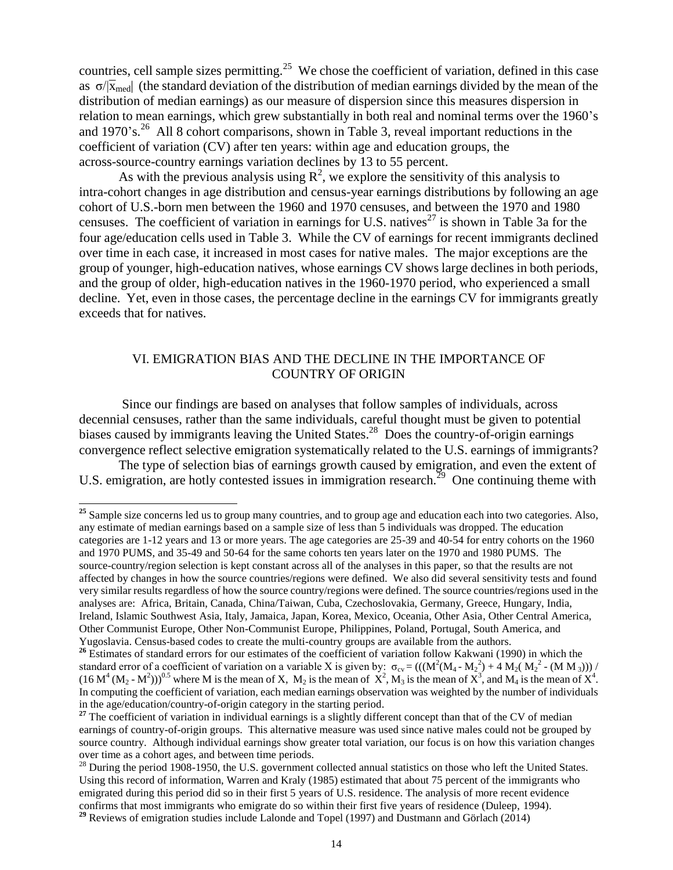countries, cell sample sizes permitting.<sup>25</sup> We chose the coefficient of variation, defined in this case as  $\sigma/\bar{x}_{\text{med}}$  (the standard deviation of the distribution of median earnings divided by the mean of the distribution of median earnings) as our measure of dispersion since this measures dispersion in relation to mean earnings, which grew substantially in both real and nominal terms over the 1960's and 1970's.<sup>26</sup> All 8 cohort comparisons, shown in Table 3, reveal important reductions in the coefficient of variation (CV) after ten years: within age and education groups, the across-source-country earnings variation declines by 13 to 55 percent.

As with the previous analysis using  $\mathbb{R}^2$ , we explore the sensitivity of this analysis to intra-cohort changes in age distribution and census-year earnings distributions by following an age cohort of U.S.-born men between the 1960 and 1970 censuses, and between the 1970 and 1980 censuses. The coefficient of variation in earnings for U.S. natives<sup>27</sup> is shown in Table 3a for the four age/education cells used in Table 3. While the CV of earnings for recent immigrants declined over time in each case, it increased in most cases for native males. The major exceptions are the group of younger, high-education natives, whose earnings CV shows large declines in both periods, and the group of older, high-education natives in the 1960-1970 period, who experienced a small decline. Yet, even in those cases, the percentage decline in the earnings CV for immigrants greatly exceeds that for natives.

#### VI. EMIGRATION BIAS AND THE DECLINE IN THE IMPORTANCE OF COUNTRY OF ORIGIN

Since our findings are based on analyses that follow samples of individuals, across decennial censuses, rather than the same individuals, careful thought must be given to potential biases caused by immigrants leaving the United States.<sup>28</sup> Does the country-of-origin earnings convergence reflect selective emigration systematically related to the U.S. earnings of immigrants?

The type of selection bias of earnings growth caused by emigration, and even the extent of U.S. emigration, are hotly contested issues in immigration research.<sup>29</sup> One continuing theme with

 $\overline{a}$ 

**<sup>29</sup>** Reviews of emigration studies include Lalonde and Topel (1997) and Dustmann and Görlach (2014)

<sup>&</sup>lt;sup>25</sup> Sample size concerns led us to group many countries, and to group age and education each into two categories. Also, any estimate of median earnings based on a sample size of less than 5 individuals was dropped. The education categories are 1-12 years and 13 or more years. The age categories are 25-39 and 40-54 for entry cohorts on the 1960 and 1970 PUMS, and 35-49 and 50-64 for the same cohorts ten years later on the 1970 and 1980 PUMS. The source-country/region selection is kept constant across all of the analyses in this paper, so that the results are not affected by changes in how the source countries/regions were defined. We also did several sensitivity tests and found very similar results regardless of how the source country/regions were defined. The source countries/regions used in the analyses are: Africa, Britain, Canada, China/Taiwan, Cuba, Czechoslovakia, Germany, Greece, Hungary, India, Ireland, Islamic Southwest Asia, Italy, Jamaica, Japan, Korea, Mexico, Oceania, Other Asia, Other Central America, Other Communist Europe, Other Non-Communist Europe, Philippines, Poland, Portugal, South America, and Yugoslavia. Census-based codes to create the multi-country groups are available from the authors.

<sup>&</sup>lt;sup>26</sup> Estimates of standard errors for our estimates of the coefficient of variation follow Kakwani (1990) in which the standard error of a coefficient of variation on a variable X is given by:  $\sigma_{cv} = (((M^2(M_4 - M_2^2) + 4 M_2(M_2^2 - (M M_3))))$  $(16 M<sup>4</sup> (M<sub>2</sub> - M<sup>2</sup>)))<sup>0.5</sup>$  where M is the mean of X,  $M<sub>2</sub>$  is the mean of  $X<sup>2</sup>$ ,  $M<sub>3</sub>$  is the mean of  $X<sup>3</sup>$ , and  $M<sub>4</sub>$  is the mean of  $X<sup>4</sup>$ . In computing the coefficient of variation, each median earnings observation was weighted by the number of individuals in the age/education/country-of-origin category in the starting period.

<sup>&</sup>lt;sup>27</sup> The coefficient of variation in individual earnings is a slightly different concept than that of the CV of median earnings of country-of-origin groups. This alternative measure was used since native males could not be grouped by source country. Although individual earnings show greater total variation, our focus is on how this variation changes over time as a cohort ages, and between time periods.

 $^{28}$  During the period 1908-1950, the U.S. government collected annual statistics on those who left the United States. Using this record of information, Warren and Kraly (1985) estimated that about 75 percent of the immigrants who emigrated during this period did so in their first 5 years of U.S. residence. The analysis of more recent evidence confirms that most immigrants who emigrate do so within their first five years of residence (Duleep, 1994).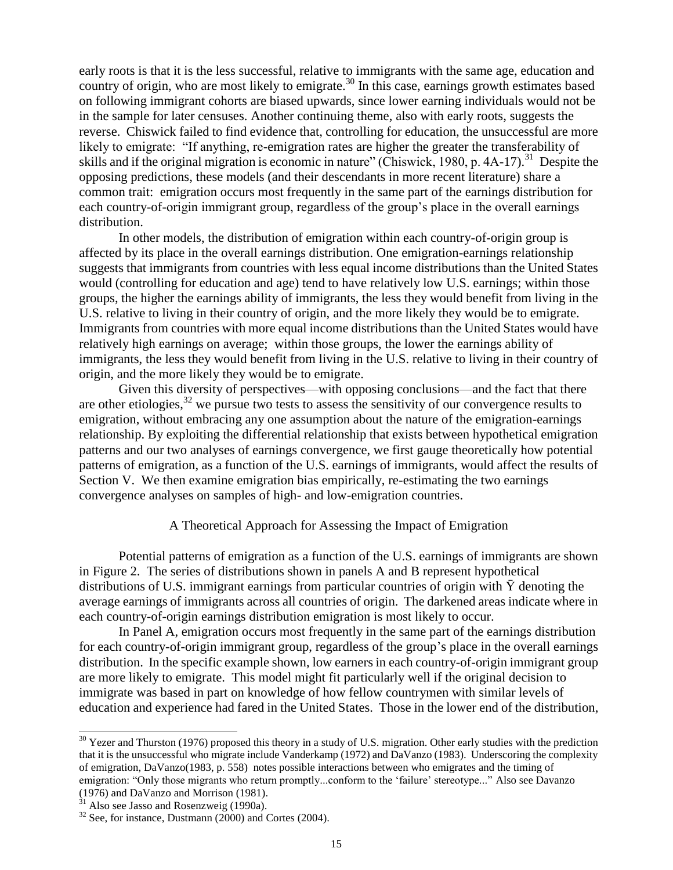early roots is that it is the less successful, relative to immigrants with the same age, education and country of origin, who are most likely to emigrate.<sup>30</sup> In this case, earnings growth estimates based on following immigrant cohorts are biased upwards, since lower earning individuals would not be in the sample for later censuses. Another continuing theme, also with early roots, suggests the reverse. Chiswick failed to find evidence that, controlling for education, the unsuccessful are more likely to emigrate: "If anything, re-emigration rates are higher the greater the transferability of skills and if the original migration is economic in nature" (Chiswick, 1980, p. 4A-17).<sup>31</sup> Despite the opposing predictions, these models (and their descendants in more recent literature) share a common trait: emigration occurs most frequently in the same part of the earnings distribution for each country-of-origin immigrant group, regardless of the group's place in the overall earnings distribution.

In other models, the distribution of emigration within each country-of-origin group is affected by its place in the overall earnings distribution. One emigration-earnings relationship suggests that immigrants from countries with less equal income distributions than the United States would (controlling for education and age) tend to have relatively low U.S. earnings; within those groups, the higher the earnings ability of immigrants, the less they would benefit from living in the U.S. relative to living in their country of origin, and the more likely they would be to emigrate. Immigrants from countries with more equal income distributions than the United States would have relatively high earnings on average; within those groups, the lower the earnings ability of immigrants, the less they would benefit from living in the U.S. relative to living in their country of origin, and the more likely they would be to emigrate.

Given this diversity of perspectives—with opposing conclusions—and the fact that there are other etiologies,  $32$  we pursue two tests to assess the sensitivity of our convergence results to emigration, without embracing any one assumption about the nature of the emigration-earnings relationship. By exploiting the differential relationship that exists between hypothetical emigration patterns and our two analyses of earnings convergence, we first gauge theoretically how potential patterns of emigration, as a function of the U.S. earnings of immigrants, would affect the results of Section V. We then examine emigration bias empirically, re-estimating the two earnings convergence analyses on samples of high- and low-emigration countries.

#### A Theoretical Approach for Assessing the Impact of Emigration

Potential patterns of emigration as a function of the U.S. earnings of immigrants are shown in Figure 2. The series of distributions shown in panels A and B represent hypothetical distributions of U.S. immigrant earnings from particular countries of origin with  $\bar{Y}$  denoting the average earnings of immigrants across all countries of origin. The darkened areas indicate where in each country-of-origin earnings distribution emigration is most likely to occur.

In Panel A, emigration occurs most frequently in the same part of the earnings distribution for each country-of-origin immigrant group, regardless of the group's place in the overall earnings distribution. In the specific example shown, low earners in each country-of-origin immigrant group are more likely to emigrate. This model might fit particularly well if the original decision to immigrate was based in part on knowledge of how fellow countrymen with similar levels of education and experience had fared in the United States. Those in the lower end of the distribution,

 $30$  Yezer and Thurston (1976) proposed this theory in a study of U.S. migration. Other early studies with the prediction that it is the unsuccessful who migrate include Vanderkamp (1972) and DaVanzo (1983). Underscoring the complexity of emigration, DaVanzo(1983, p. 558) notes possible interactions between who emigrates and the timing of emigration: "Only those migrants who return promptly...conform to the 'failure' stereotype..." Also see Davanzo (1976) and DaVanzo and Morrison (1981).

 $31$  Also see Jasso and Rosenzweig (1990a).

 $32$  See, for instance, Dustmann (2000) and Cortes (2004).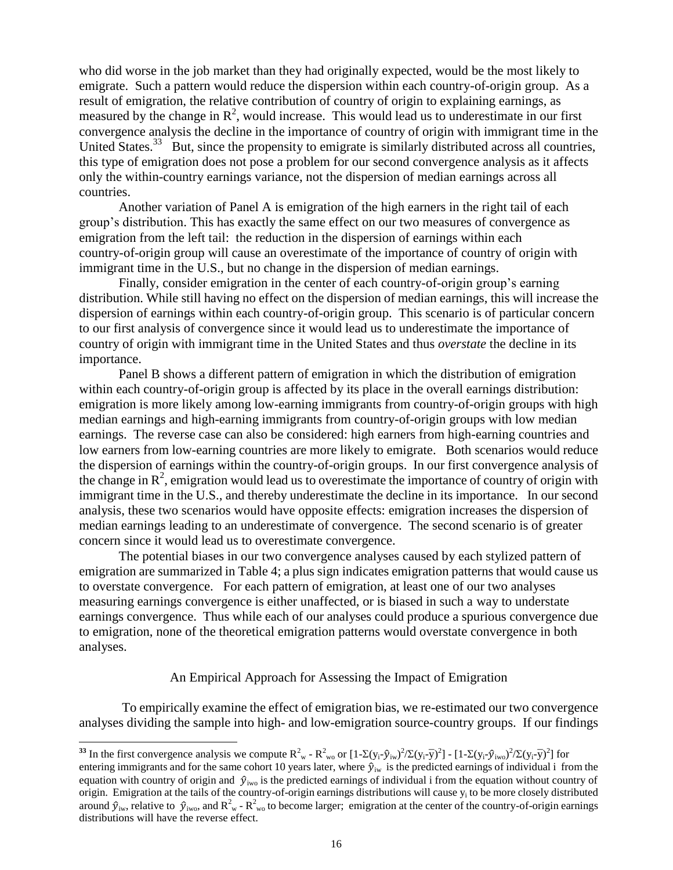who did worse in the job market than they had originally expected, would be the most likely to emigrate. Such a pattern would reduce the dispersion within each country-of-origin group. As a result of emigration, the relative contribution of country of origin to explaining earnings, as measured by the change in  $\mathbb{R}^2$ , would increase. This would lead us to underestimate in our first convergence analysis the decline in the importance of country of origin with immigrant time in the United States.<sup>33</sup> But, since the propensity to emigrate is similarly distributed across all countries, this type of emigration does not pose a problem for our second convergence analysis as it affects only the within-country earnings variance, not the dispersion of median earnings across all countries.

Another variation of Panel A is emigration of the high earners in the right tail of each group's distribution. This has exactly the same effect on our two measures of convergence as emigration from the left tail: the reduction in the dispersion of earnings within each country-of-origin group will cause an overestimate of the importance of country of origin with immigrant time in the U.S., but no change in the dispersion of median earnings.

Finally, consider emigration in the center of each country-of-origin group's earning distribution. While still having no effect on the dispersion of median earnings, this will increase the dispersion of earnings within each country-of-origin group. This scenario is of particular concern to our first analysis of convergence since it would lead us to underestimate the importance of country of origin with immigrant time in the United States and thus *overstate* the decline in its importance.

Panel B shows a different pattern of emigration in which the distribution of emigration within each country-of-origin group is affected by its place in the overall earnings distribution: emigration is more likely among low-earning immigrants from country-of-origin groups with high median earnings and high-earning immigrants from country-of-origin groups with low median earnings. The reverse case can also be considered: high earners from high-earning countries and low earners from low-earning countries are more likely to emigrate. Both scenarios would reduce the dispersion of earnings within the country-of-origin groups. In our first convergence analysis of the change in  $\mathbb{R}^2$ , emigration would lead us to overestimate the importance of country of origin with immigrant time in the U.S., and thereby underestimate the decline in its importance. In our second analysis, these two scenarios would have opposite effects: emigration increases the dispersion of median earnings leading to an underestimate of convergence. The second scenario is of greater concern since it would lead us to overestimate convergence.

The potential biases in our two convergence analyses caused by each stylized pattern of emigration are summarized in Table 4; a plus sign indicates emigration patterns that would cause us to overstate convergence. For each pattern of emigration, at least one of our two analyses measuring earnings convergence is either unaffected, or is biased in such a way to understate earnings convergence. Thus while each of our analyses could produce a spurious convergence due to emigration, none of the theoretical emigration patterns would overstate convergence in both analyses.

#### An Empirical Approach for Assessing the Impact of Emigration

To empirically examine the effect of emigration bias, we re-estimated our two convergence analyses dividing the sample into high- and low-emigration source-country groups. If our findings

<sup>&</sup>lt;sup>33</sup> In the first convergence analysis we compute  $R_{w}^2 - R_{w0}^2$  or  $[1-\Sigma(y_i-\hat{y}_{iw})^2/\Sigma(y_i-\bar{y})^2] - [1-\Sigma(y_i-\hat{y}_{iw})^2/\Sigma(y_i-\bar{y})^2]$  for entering immigrants and for the same cohort 10 years later, where  $\hat{y}_{iw}$  is the predicted earnings of individual i from the equation with country of origin and  $\hat{y}_{iw}$  is the predicted earnings of individual i from the equation without country of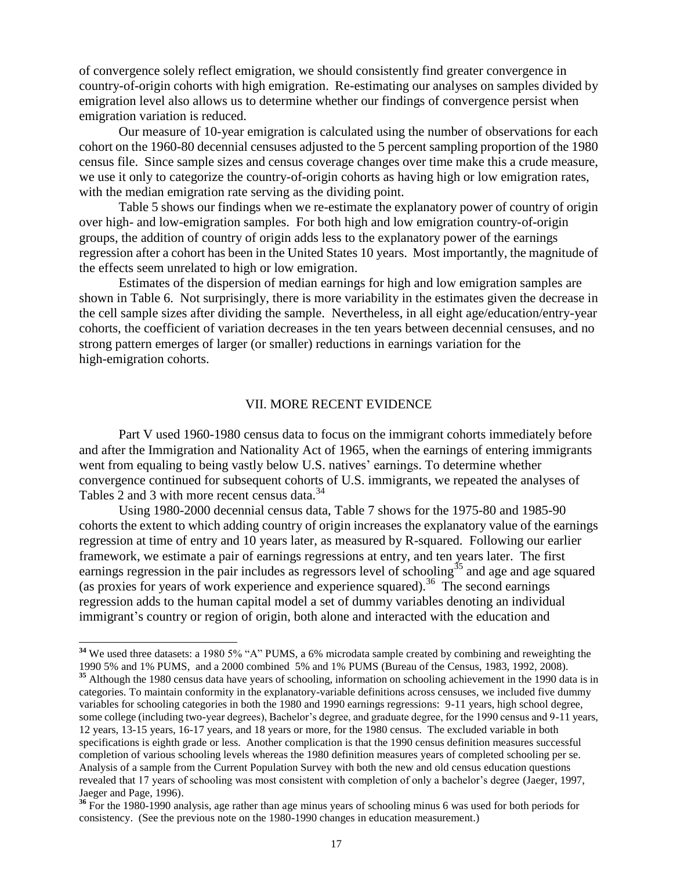of convergence solely reflect emigration, we should consistently find greater convergence in country-of-origin cohorts with high emigration. Re-estimating our analyses on samples divided by emigration level also allows us to determine whether our findings of convergence persist when emigration variation is reduced.

Our measure of 10-year emigration is calculated using the number of observations for each cohort on the 1960-80 decennial censuses adjusted to the 5 percent sampling proportion of the 1980 census file. Since sample sizes and census coverage changes over time make this a crude measure, we use it only to categorize the country-of-origin cohorts as having high or low emigration rates, with the median emigration rate serving as the dividing point.

Table 5 shows our findings when we re-estimate the explanatory power of country of origin over high- and low-emigration samples. For both high and low emigration country-of-origin groups, the addition of country of origin adds less to the explanatory power of the earnings regression after a cohort has been in the United States 10 years. Most importantly, the magnitude of the effects seem unrelated to high or low emigration.

Estimates of the dispersion of median earnings for high and low emigration samples are shown in Table 6. Not surprisingly, there is more variability in the estimates given the decrease in the cell sample sizes after dividing the sample. Nevertheless, in all eight age/education/entry-year cohorts, the coefficient of variation decreases in the ten years between decennial censuses, and no strong pattern emerges of larger (or smaller) reductions in earnings variation for the high-emigration cohorts.

#### VII. MORE RECENT EVIDENCE

Part V used 1960-1980 census data to focus on the immigrant cohorts immediately before and after the Immigration and Nationality Act of 1965, when the earnings of entering immigrants went from equaling to being vastly below U.S. natives' earnings. To determine whether convergence continued for subsequent cohorts of U.S. immigrants, we repeated the analyses of Tables 2 and 3 with more recent census data.<sup>34</sup>

Using 1980-2000 decennial census data, Table 7 shows for the 1975-80 and 1985-90 cohorts the extent to which adding country of origin increases the explanatory value of the earnings regression at time of entry and 10 years later, as measured by R-squared. Following our earlier framework, we estimate a pair of earnings regressions at entry, and ten years later. The first earnings regression in the pair includes as regressors level of schooling<sup>35</sup> and age and age squared (as proxies for years of work experience and experience squared).<sup>36</sup> The second earnings regression adds to the human capital model a set of dummy variables denoting an individual immigrant's country or region of origin, both alone and interacted with the education and

l

<sup>&</sup>lt;sup>34</sup> We used three datasets: a 1980 5% "A" PUMS, a 6% microdata sample created by combining and reweighting the 1990 5% and 1% PUMS, and a 2000 combined 5% and 1% PUMS (Bureau of the Census, 1983, 1992, 2008).

<sup>&</sup>lt;sup>35</sup> Although the 1980 census data have years of schooling, information on schooling achievement in the 1990 data is in categories. To maintain conformity in the explanatory-variable definitions across censuses, we included five dummy variables for schooling categories in both the 1980 and 1990 earnings regressions: 9-11 years, high school degree, some college (including two-year degrees), Bachelor's degree, and graduate degree, for the 1990 census and 9-11 years, 12 years, 13-15 years, 16-17 years, and 18 years or more, for the 1980 census. The excluded variable in both specifications is eighth grade or less. Another complication is that the 1990 census definition measures successful completion of various schooling levels whereas the 1980 definition measures years of completed schooling per se. Analysis of a sample from the Current Population Survey with both the new and old census education questions revealed that 17 years of schooling was most consistent with completion of only a bachelor's degree (Jaeger, 1997, Jaeger and Page, 1996).

**<sup>36</sup>** For the 1980-1990 analysis, age rather than age minus years of schooling minus 6 was used for both periods for consistency. (See the previous note on the 1980-1990 changes in education measurement.)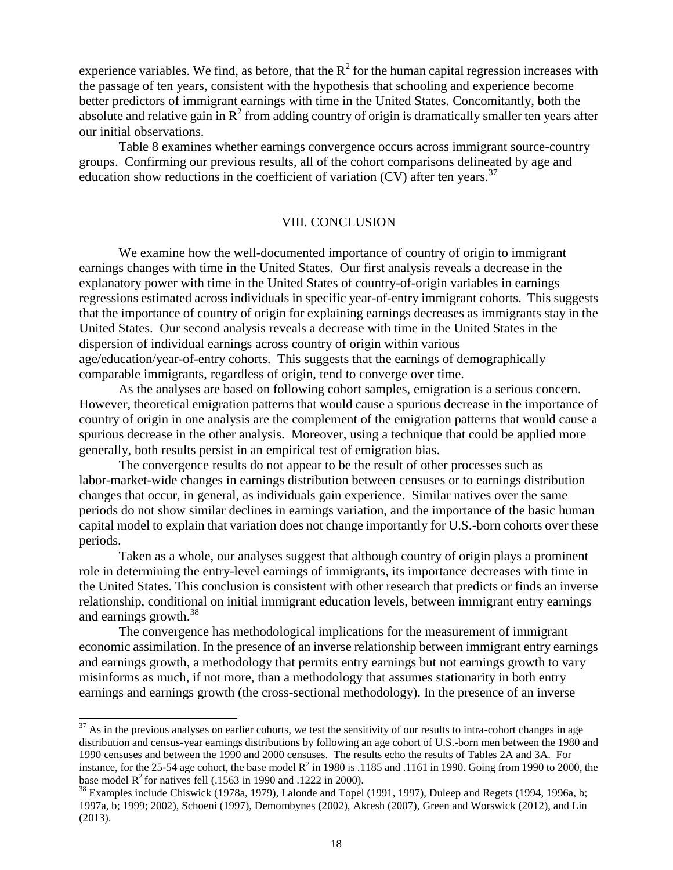experience variables. We find, as before, that the  $R^2$  for the human capital regression increases with the passage of ten years, consistent with the hypothesis that schooling and experience become better predictors of immigrant earnings with time in the United States. Concomitantly, both the absolute and relative gain in  $R^2$  from adding country of origin is dramatically smaller ten years after our initial observations.

Table 8 examines whether earnings convergence occurs across immigrant source-country groups. Confirming our previous results, all of the cohort comparisons delineated by age and education show reductions in the coefficient of variation  $(CV)$  after ten years.<sup>37</sup>

#### VIII. CONCLUSION

We examine how the well-documented importance of country of origin to immigrant earnings changes with time in the United States. Our first analysis reveals a decrease in the explanatory power with time in the United States of country-of-origin variables in earnings regressions estimated across individuals in specific year-of-entry immigrant cohorts. This suggests that the importance of country of origin for explaining earnings decreases as immigrants stay in the United States. Our second analysis reveals a decrease with time in the United States in the dispersion of individual earnings across country of origin within various age/education/year-of-entry cohorts. This suggests that the earnings of demographically comparable immigrants, regardless of origin, tend to converge over time.

As the analyses are based on following cohort samples, emigration is a serious concern. However, theoretical emigration patterns that would cause a spurious decrease in the importance of country of origin in one analysis are the complement of the emigration patterns that would cause a spurious decrease in the other analysis. Moreover, using a technique that could be applied more generally, both results persist in an empirical test of emigration bias.

The convergence results do not appear to be the result of other processes such as labor-market-wide changes in earnings distribution between censuses or to earnings distribution changes that occur, in general, as individuals gain experience. Similar natives over the same periods do not show similar declines in earnings variation, and the importance of the basic human capital model to explain that variation does not change importantly for U.S.-born cohorts over these periods.

Taken as a whole, our analyses suggest that although country of origin plays a prominent role in determining the entry-level earnings of immigrants, its importance decreases with time in the United States. This conclusion is consistent with other research that predicts or finds an inverse relationship, conditional on initial immigrant education levels, between immigrant entry earnings and earnings growth.<sup>38</sup>

The convergence has methodological implications for the measurement of immigrant economic assimilation. In the presence of an inverse relationship between immigrant entry earnings and earnings growth, a methodology that permits entry earnings but not earnings growth to vary misinforms as much, if not more, than a methodology that assumes stationarity in both entry earnings and earnings growth (the cross-sectional methodology). In the presence of an inverse

l

 $37$  As in the previous analyses on earlier cohorts, we test the sensitivity of our results to intra-cohort changes in age distribution and census-year earnings distributions by following an age cohort of U.S.-born men between the 1980 and 1990 censuses and between the 1990 and 2000 censuses. The results echo the results of Tables 2A and 3A. For instance, for the 25-54 age cohort, the base model  $R^2$  in 1980 is .1185 and .1161 in 1990. Going from 1990 to 2000, the base model  $R^2$  for natives fell (.1563 in 1990 and .1222 in 2000).

 $38$  Examples include Chiswick (1978a, 1979), Lalonde and Topel (1991, 1997), Duleep and Regets (1994, 1996a, b; 1997a, b; 1999; 2002), Schoeni (1997), Demombynes (2002), Akresh (2007), Green and Worswick (2012), and Lin (2013).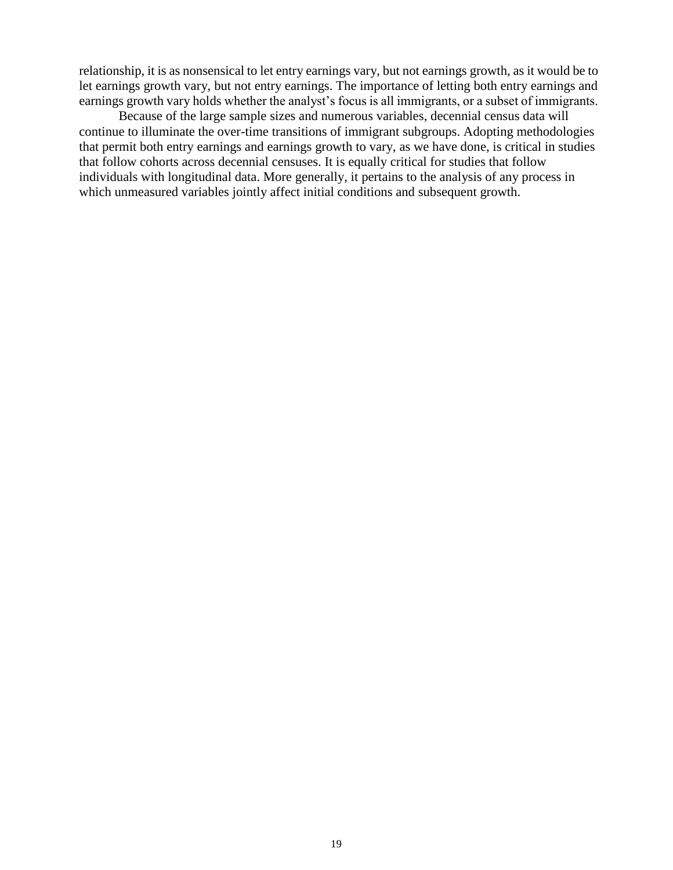relationship, it is as nonsensical to let entry earnings vary, but not earnings growth, as it would be to let earnings growth vary, but not entry earnings. The importance of letting both entry earnings and earnings growth vary holds whether the analyst's focus is all immigrants, or a subset of immigrants.

Because of the large sample sizes and numerous variables, decennial census data will continue to illuminate the over-time transitions of immigrant subgroups. Adopting methodologies that permit both entry earnings and earnings growth to vary, as we have done, is critical in studies that follow cohorts across decennial censuses. It is equally critical for studies that follow individuals with longitudinal data. More generally, it pertains to the analysis of any process in which unmeasured variables jointly affect initial conditions and subsequent growth.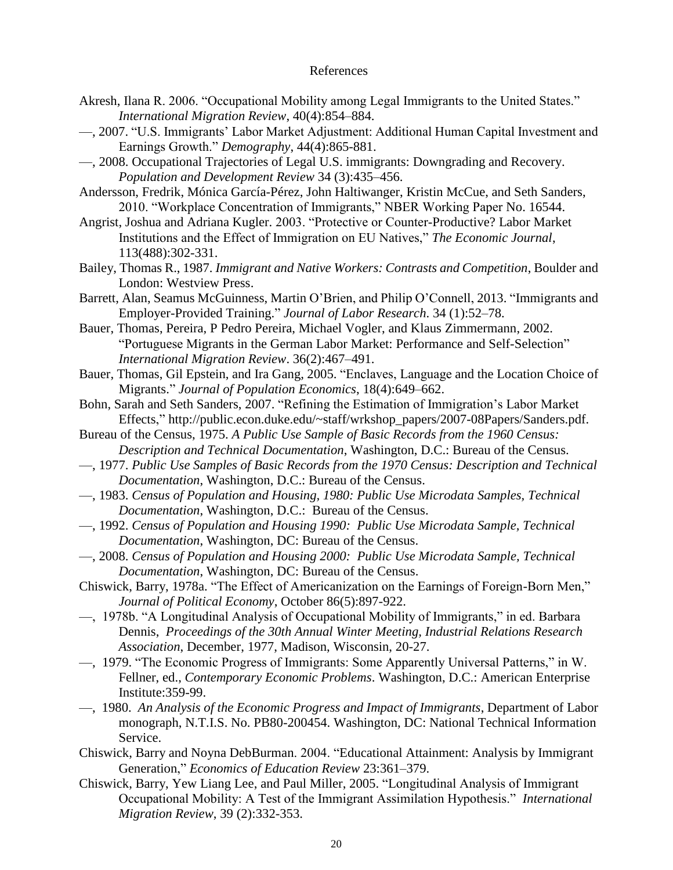#### References

- Akresh, Ilana R. 2006. "Occupational Mobility among Legal Immigrants to the United States." *International Migration Review*, 40(4):854–884.
- —, 2007. "U.S. Immigrants' Labor Market Adjustment: Additional Human Capital Investment and Earnings Growth." *Demography*, 44(4):865-881.
- —, 2008. Occupational Trajectories of Legal U.S. immigrants: Downgrading and Recovery. *Population and Development Review* 34 (3):435–456.
- Andersson, Fredrik, Mónica García-Pérez, John Haltiwanger, Kristin McCue, and Seth Sanders, 2010. "Workplace Concentration of Immigrants," NBER Working Paper No. 16544.
- Angrist, Joshua and Adriana Kugler. 2003. "Protective or Counter-Productive? Labor Market Institutions and the Effect of Immigration on EU Natives," *The Economic Journal*, 113(488):302-331.
- Bailey, Thomas R., 1987. *Immigrant and Native Workers: Contrasts and Competition*, Boulder and London: Westview Press.
- Barrett, Alan, Seamus McGuinness, Martin O'Brien, and Philip O'Connell, 2013. "Immigrants and Employer-Provided Training.‖ *Journal of Labor Research*. 34 (1):52–78.
- Bauer, Thomas, Pereira, P Pedro Pereira, Michael Vogler, and Klaus Zimmermann, 2002. "Portuguese Migrants in the German Labor Market: Performance and Self-Selection" *International Migration Review*. 36(2):467–491.
- Bauer, Thomas, Gil Epstein, and Ira Gang, 2005. "Enclaves, Language and the Location Choice of Migrants.‖ *Journal of Population Economics*, 18(4):649–662.
- Bohn, Sarah and Seth Sanders, 2007. "Refining the Estimation of Immigration's Labor Market Effects," http://public.econ.duke.edu/~staff/wrkshop\_papers/2007-08Papers/Sanders.pdf.
- Bureau of the Census, 1975. *A Public Use Sample of Basic Records from the 1960 Census: Description and Technical Documentation*, Washington, D.C.: Bureau of the Census.
- —, 1977. *Public Use Samples of Basic Records from the 1970 Census: Description and Technical Documentation*, Washington, D.C.: Bureau of the Census.
- —, 1983. *Census of Population and Housing, 1980: Public Use Microdata Samples, Technical Documentation*, Washington, D.C.: Bureau of the Census.
- —, 1992. *Census of Population and Housing 1990: Public Use Microdata Sample, Technical Documentation*, Washington, DC: Bureau of the Census.
- —, 2008. *Census of Population and Housing 2000: Public Use Microdata Sample, Technical Documentation*, Washington, DC: Bureau of the Census.
- Chiswick, Barry, 1978a. "The Effect of Americanization on the Earnings of Foreign-Born Men," *Journal of Political Economy*, October 86(5):897-922.
- —, 1978b. "A Longitudinal Analysis of Occupational Mobility of Immigrants," in ed. Barbara Dennis, *Proceedings of the 30th Annual Winter Meeting, Industrial Relations Research Association*, December, 1977, Madison, Wisconsin, 20-27.
- —, 1979. "The Economic Progress of Immigrants: Some Apparently Universal Patterns," in W. Fellner, ed., *Contemporary Economic Problems*. Washington, D.C.: American Enterprise Institute:359-99.
- —, 1980. *An Analysis of the Economic Progress and Impact of Immigrants*, Department of Labor monograph, N.T.I.S. No. PB80-200454. Washington, DC: National Technical Information Service.
- Chiswick, Barry and Noyna DebBurman. 2004. "Educational Attainment: Analysis by Immigrant Generation," *Economics of Education Review* 23:361–379.
- Chiswick, Barry, Yew Liang Lee, and Paul Miller, 2005. "Longitudinal Analysis of Immigrant Occupational Mobility: A Test of the Immigrant Assimilation Hypothesis." *International Migration Review*, 39 (2):332-353.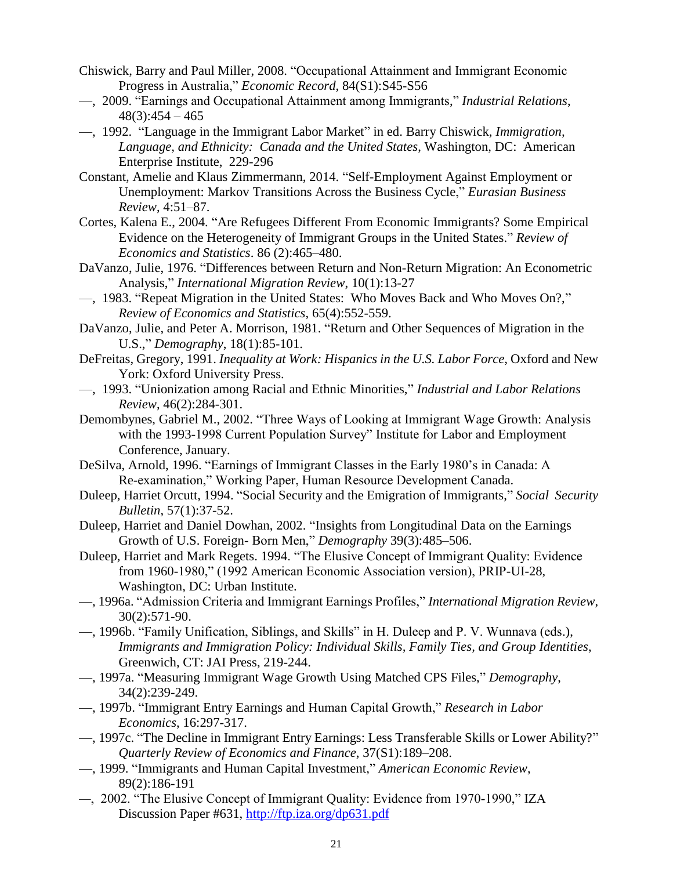- Chiswick, Barry and Paul Miller, 2008. "Occupational Attainment and Immigrant Economic Progress in Australia," *Economic Record*, 84(S1):S45-S56
- —, 2009. ―Earnings and Occupational Attainment among Immigrants,‖ *Industrial Relations*,  $48(3):454 - 465$
- —, 1992. ―Language in the Immigrant Labor Market‖ in ed. Barry Chiswick, *Immigration, Language, and Ethnicity: Canada and the United States*, Washington, DC: American Enterprise Institute, 229-296
- Constant, Amelie and Klaus Zimmermann, 2014. "Self-Employment Against Employment or Unemployment: Markov Transitions Across the Business Cycle," *Eurasian Business Review*, 4:51–87.
- Cortes, Kalena E., 2004. "Are Refugees Different From Economic Immigrants? Some Empirical Evidence on the Heterogeneity of Immigrant Groups in the United States." *Review of Economics and Statistics*. 86 (2):465–480.
- DaVanzo, Julie, 1976. "Differences between Return and Non-Return Migration: An Econometric Analysis," *International Migration Review*, 10(1):13-27
- —, 1983. "Repeat Migration in the United States: Who Moves Back and Who Moves On?," *Review of Economics and Statistics*, 65(4):552-559.
- DaVanzo, Julie, and Peter A. Morrison, 1981. "Return and Other Sequences of Migration in the U.S.," *Demography*, 18(1):85-101.
- DeFreitas, Gregory, 1991. *Inequality at Work: Hispanics in the U.S. Labor Force*, Oxford and New York: Oxford University Press.
- —, 1993. ―Unionization among Racial and Ethnic Minorities,‖ *Industrial and Labor Relations Review*, 46(2):284-301.
- Demombynes, Gabriel M., 2002. "Three Ways of Looking at Immigrant Wage Growth: Analysis with the 1993-1998 Current Population Survey" Institute for Labor and Employment Conference, January.
- DeSilva, Arnold, 1996. "Earnings of Immigrant Classes in the Early 1980's in Canada: A Re-examination," Working Paper, Human Resource Development Canada.
- Duleep, Harriet Orcutt, 1994. "Social Security and the Emigration of Immigrants," Social Security *Bulletin*, 57(1):37-52.
- Duleep, Harriet and Daniel Dowhan, 2002. "Insights from Longitudinal Data on the Earnings Growth of U.S. Foreign-Born Men," *Demography* 39(3):485–506.
- Duleep, Harriet and Mark Regets. 1994. "The Elusive Concept of Immigrant Quality: Evidence from 1960-1980," (1992 American Economic Association version), PRIP-UI-28, Washington, DC: Urban Institute.
- —, 1996a. ―Admission Criteria and Immigrant Earnings Profiles,‖ *International Migration Review*, 30(2):571-90.
- —, 1996b. "Family Unification, Siblings, and Skills" in H. Duleep and P. V. Wunnava (eds.), *Immigrants and Immigration Policy: Individual Skills, Family Ties, and Group Identities*, Greenwich, CT: JAI Press, 219-244.
- —, 1997a. "Measuring Immigrant Wage Growth Using Matched CPS Files," *Demography*, 34(2):239-249.
- —, 1997b. ―Immigrant Entry Earnings and Human Capital Growth,‖ *Research in Labor Economics*, 16:297-317.
- —, 1997c. "The Decline in Immigrant Entry Earnings: Less Transferable Skills or Lower Ability?" *Quarterly Review of Economics and Finance*, 37(S1):189–208.
- —, 1999. ―Immigrants and Human Capital Investment,‖ *American Economic Review*, 89(2):186-191
- $-$ , 2002. "The Elusive Concept of Immigrant Quality: Evidence from 1970-1990," IZA Discussion Paper #631,<http://ftp.iza.org/dp631.pdf>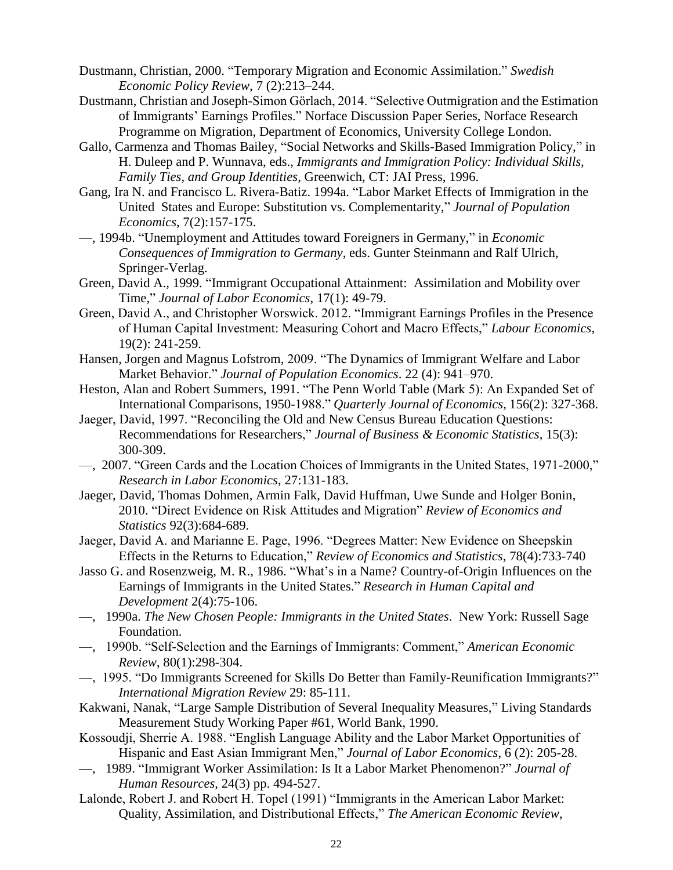- Dustmann, Christian, 2000. "Temporary Migration and Economic Assimilation." Swedish *Economic Policy Review*, 7 (2):213–244.
- Dustmann, Christian and Joseph-Simon Görlach, 2014. "Selective Outmigration and the Estimation of Immigrants' Earnings Profiles." Norface Discussion Paper Series, Norface Research Programme on Migration, Department of Economics, University College London.
- Gallo, Carmenza and Thomas Bailey, "Social Networks and Skills-Based Immigration Policy," in H. Duleep and P. Wunnava, eds., *Immigrants and Immigration Policy: Individual Skills, Family Ties, and Group Identities*, Greenwich, CT: JAI Press, 1996.
- Gang, Ira N. and Francisco L. Rivera-Batiz. 1994a. "Labor Market Effects of Immigration in the United States and Europe: Substitution vs. Complementarity," *Journal of Population Economics*, 7(2):157-175.
- $-$ , 1994b. "Unemployment and Attitudes toward Foreigners in Germany," in *Economic Consequences of Immigration to Germany*, eds. Gunter Steinmann and Ralf Ulrich, Springer-Verlag.
- Green, David A., 1999. "Immigrant Occupational Attainment: Assimilation and Mobility over Time,‖ *Journal of Labor Economics*, 17(1): 49-79.
- Green, David A., and Christopher Worswick. 2012. "Immigrant Earnings Profiles in the Presence of Human Capital Investment: Measuring Cohort and Macro Effects," Labour Economics, 19(2): 241-259.
- Hansen, Jorgen and Magnus Lofstrom, 2009. "The Dynamics of Immigrant Welfare and Labor Market Behavior." *Journal of Population Economics*. 22 (4): 941–970.
- Heston, Alan and Robert Summers, 1991. "The Penn World Table (Mark 5): An Expanded Set of International Comparisons, 1950-1988.‖ *Quarterly Journal of Economics,* 156(2): 327-368.
- Jaeger, David, 1997. "Reconciling the Old and New Census Bureau Education Ouestions: Recommendations for Researchers," *Journal of Business & Economic Statistics*, 15(3): 300-309.
- —, 2007. "Green Cards and the Location Choices of Immigrants in the United States, 1971-2000," *Research in Labor Economics*, 27:131-183.
- Jaeger, David, Thomas Dohmen, Armin Falk, David Huffman, Uwe Sunde and Holger Bonin, 2010. ―Direct Evidence on Risk Attitudes and Migration‖ *Review of Economics and Statistics* 92(3):684-689.
- Jaeger, David A. and Marianne E. Page, 1996. "Degrees Matter: New Evidence on Sheepskin Effects in the Returns to Education,‖ *Review of Economics and Statistics*, 78(4):733-740
- Jasso G. and Rosenzweig, M. R., 1986. "What's in a Name? Country-of-Origin Influences on the Earnings of Immigrants in the United States.‖ *Research in Human Capital and Development* 2(4):75-106.
- —, 1990a. *The New Chosen People: Immigrants in the United States*. New York: Russell Sage Foundation.
- —, 1990b. ―Self-Selection and the Earnings of Immigrants: Comment,‖ *American Economic Review*, 80(1):298-304.
- —, 1995. "Do Immigrants Screened for Skills Do Better than Family-Reunification Immigrants?" *International Migration Review* 29: 85-111.
- Kakwani, Nanak, "Large Sample Distribution of Several Inequality Measures," Living Standards Measurement Study Working Paper #61, World Bank, 1990.
- Kossoudji, Sherrie A. 1988. "English Language Ability and the Labor Market Opportunities of Hispanic and East Asian Immigrant Men," *Journal of Labor Economics*, 6 (2): 205-28.
- —, 1989. ―Immigrant Worker Assimilation: Is It a Labor Market Phenomenon?‖ *Journal of Human Resources*, 24(3) pp. 494-527.
- Lalonde, Robert J. and Robert H. Topel (1991) "Immigrants in the American Labor Market: Quality, Assimilation, and Distributional Effects," The American Economic Review,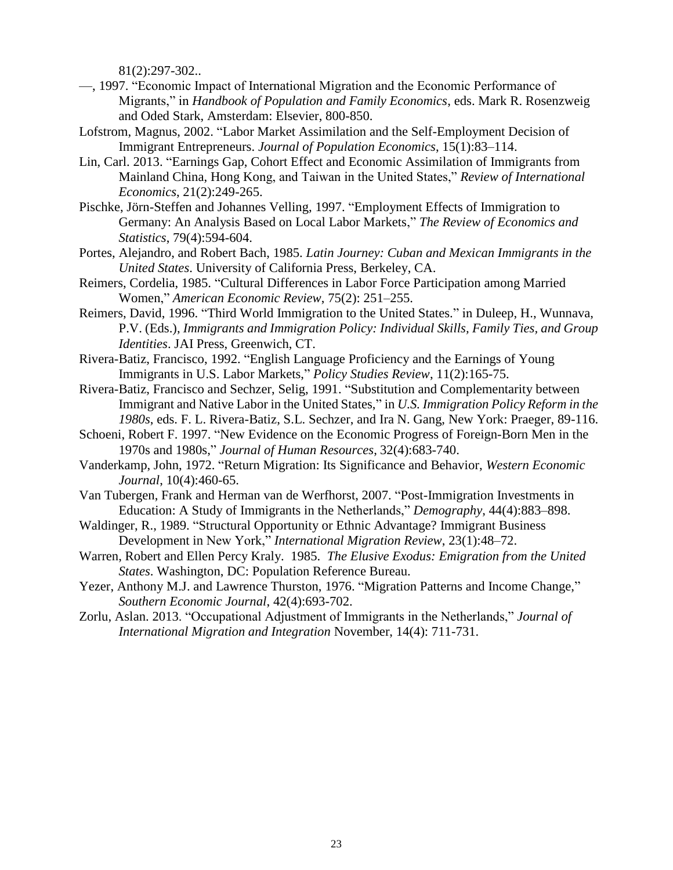81(2):297-302..

- —, 1997. "Economic Impact of International Migration and the Economic Performance of Migrants," in *Handbook of Population and Family Economics*, eds. Mark R. Rosenzweig and Oded Stark, Amsterdam: Elsevier, 800-850.
- Lofstrom, Magnus, 2002. "Labor Market Assimilation and the Self-Employment Decision of Immigrant Entrepreneurs. *Journal of Population Economics*, 15(1):83–114.
- Lin, Carl. 2013. "Earnings Gap, Cohort Effect and Economic Assimilation of Immigrants from Mainland China, Hong Kong, and Taiwan in the United States," *Review of International Economics*, 21(2):249-265.
- Pischke, Jörn-Steffen and Johannes Velling, 1997. "Employment Effects of Immigration to Germany: An Analysis Based on Local Labor Markets," The Review of Economics and *Statistics*, 79(4):594-604.
- Portes, Alejandro, and Robert Bach, 1985. *Latin Journey: Cuban and Mexican Immigrants in the United States*. University of California Press, Berkeley, CA.
- Reimers, Cordelia, 1985. "Cultural Differences in Labor Force Participation among Married Women,‖ *American Economic Review*, 75(2): 251–255.
- Reimers, David, 1996. "Third World Immigration to the United States." in Duleep, H., Wunnava, P.V. (Eds.), *Immigrants and Immigration Policy: Individual Skills, Family Ties, and Group Identities*. JAI Press, Greenwich, CT.
- Rivera-Batiz, Francisco, 1992. "English Language Proficiency and the Earnings of Young Immigrants in U.S. Labor Markets," *Policy Studies Review*, 11(2):165-75.
- Rivera-Batiz, Francisco and Sechzer, Selig, 1991. "Substitution and Complementarity between Immigrant and Native Labor in the United States," in *U.S. Immigration Policy Reform in the 1980s*, eds. F. L. Rivera-Batiz, S.L. Sechzer, and Ira N. Gang, New York: Praeger, 89-116.
- Schoeni, Robert F. 1997. "New Evidence on the Economic Progress of Foreign-Born Men in the 1970s and 1980s,‖ *Journal of Human Resources*, 32(4):683-740.
- Vanderkamp, John, 1972. "Return Migration: Its Significance and Behavior, *Western Economic Journal*, 10(4):460-65.
- Van Tubergen, Frank and Herman van de Werfhorst, 2007. "Post-Immigration Investments in Education: A Study of Immigrants in the Netherlands," *Demography*, 44(4):883–898.
- Waldinger, R., 1989. "Structural Opportunity or Ethnic Advantage? Immigrant Business Development in New York," *International Migration Review*, 23(1):48–72.
- Warren, Robert and Ellen Percy Kraly. 1985. *The Elusive Exodus: Emigration from the United States*. Washington, DC: Population Reference Bureau.
- Yezer, Anthony M.J. and Lawrence Thurston, 1976. "Migration Patterns and Income Change," *Southern Economic Journal*, 42(4):693-702.
- Zorlu, Aslan. 2013. "Occupational Adjustment of Immigrants in the Netherlands," *Journal of International Migration and Integration* November, 14(4): 711-731.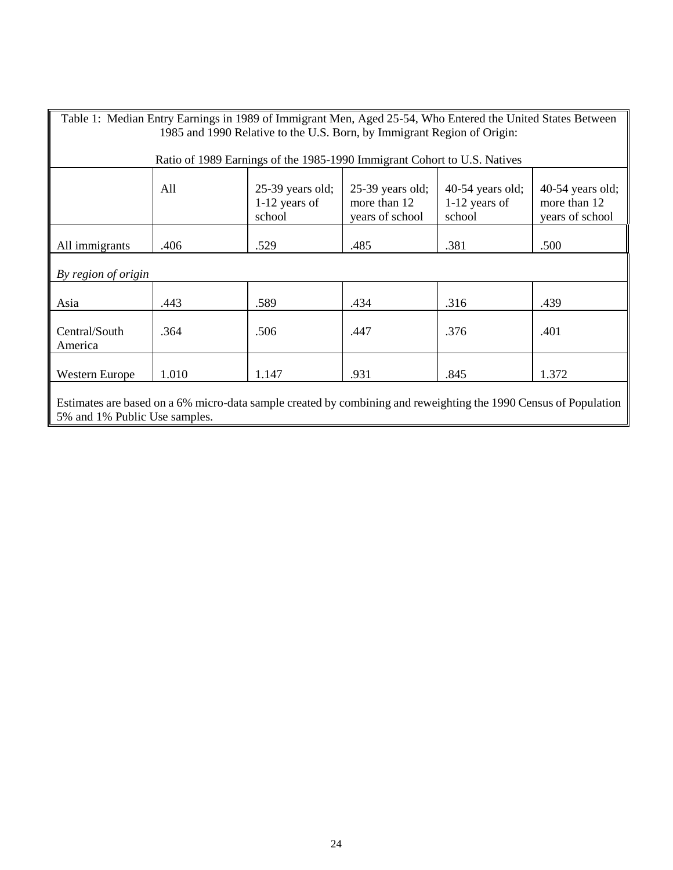| Table 1: Median Entry Earnings in 1989 of Immigrant Men, Aged 25-54, Who Entered the United States Between                                                                                                                  |       |                                                                          |      |      |       |  |  |
|-----------------------------------------------------------------------------------------------------------------------------------------------------------------------------------------------------------------------------|-------|--------------------------------------------------------------------------|------|------|-------|--|--|
|                                                                                                                                                                                                                             |       | 1985 and 1990 Relative to the U.S. Born, by Immigrant Region of Origin:  |      |      |       |  |  |
|                                                                                                                                                                                                                             |       |                                                                          |      |      |       |  |  |
|                                                                                                                                                                                                                             |       | Ratio of 1989 Earnings of the 1985-1990 Immigrant Cohort to U.S. Natives |      |      |       |  |  |
| All<br>$25-39$ years old;<br>$25-39$ years old;<br>$40-54$ years old;<br>$40-54$ years old;<br>$1-12$ years of<br>more than 12<br>$1-12$ years of<br>more than 12<br>school<br>school<br>years of school<br>years of school |       |                                                                          |      |      |       |  |  |
| All immigrants                                                                                                                                                                                                              | .406  | .529                                                                     | .485 | .381 | .500  |  |  |
| By region of origin                                                                                                                                                                                                         |       |                                                                          |      |      |       |  |  |
| Asia                                                                                                                                                                                                                        | .443  | .589                                                                     | .434 | .316 | .439  |  |  |
| Central/South<br>America                                                                                                                                                                                                    | .364  | .506                                                                     | .447 | .376 | .401  |  |  |
| <b>Western Europe</b>                                                                                                                                                                                                       | 1.010 | 1.147                                                                    | .931 | .845 | 1.372 |  |  |
| Estimates are based on a 6% micro-data sample created by combining and reweighting the 1990 Census of Population<br>5% and 1% Public Use samples.                                                                           |       |                                                                          |      |      |       |  |  |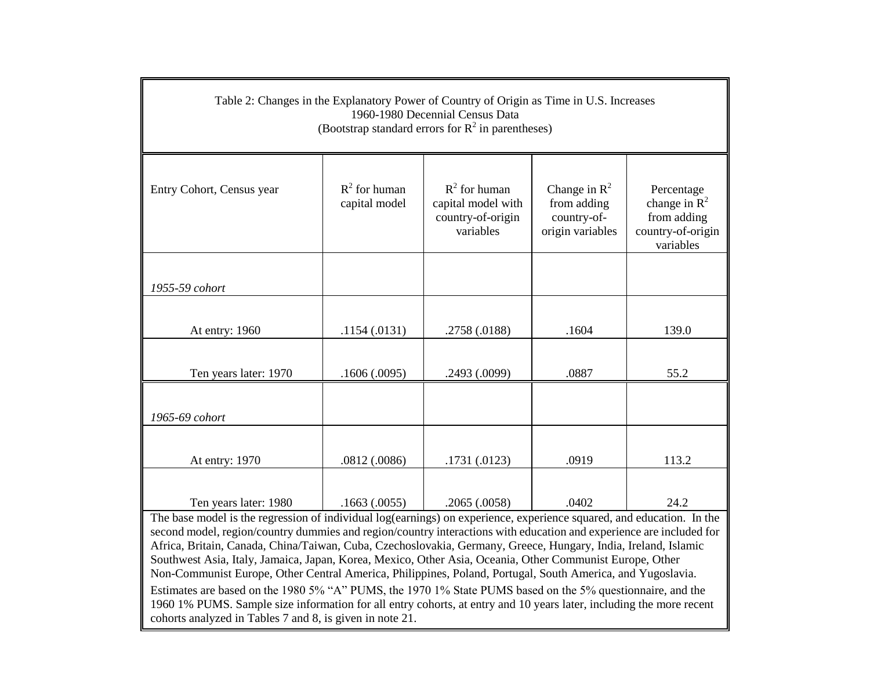| Table 2: Changes in the Explanatory Power of Country of Origin as Time in U.S. Increases<br>1960-1980 Decennial Census Data<br>(Bootstrap standard errors for $R^2$ in parentheses) |                                  |                                                                         |                                                                   |                                                                                |  |  |
|-------------------------------------------------------------------------------------------------------------------------------------------------------------------------------------|----------------------------------|-------------------------------------------------------------------------|-------------------------------------------------------------------|--------------------------------------------------------------------------------|--|--|
| Entry Cohort, Census year                                                                                                                                                           | $R^2$ for human<br>capital model | $R^2$ for human<br>capital model with<br>country-of-origin<br>variables | Change in $R^2$<br>from adding<br>country-of-<br>origin variables | Percentage<br>change in $R^2$<br>from adding<br>country-of-origin<br>variables |  |  |
| 1955-59 cohort                                                                                                                                                                      |                                  |                                                                         |                                                                   |                                                                                |  |  |
| At entry: 1960                                                                                                                                                                      | .1154(.0131)                     | .2758 (.0188)                                                           | .1604                                                             | 139.0                                                                          |  |  |
| Ten years later: 1970                                                                                                                                                               | .1606(.0095)                     | .2493 (.0099)                                                           | .0887                                                             | 55.2                                                                           |  |  |
| 1965-69 cohort                                                                                                                                                                      |                                  |                                                                         |                                                                   |                                                                                |  |  |
| At entry: 1970                                                                                                                                                                      | .0812(.0086)                     | .1731(.0123)                                                            | .0919                                                             | 113.2                                                                          |  |  |
| Ten years later: 1980<br>The base model is the regression of individual log(earnings) on experience experience squared and education In the                                         | .1663(.0055)                     | .2065(.0058)                                                            | .0402                                                             | 24.2                                                                           |  |  |

The base model is the regression of individual log(earnings) on experience, experience squared, and education. In the second model, region/country dummies and region/country interactions with education and experience are included for Africa, Britain, Canada, China/Taiwan, Cuba, Czechoslovakia, Germany, Greece, Hungary, India, Ireland, Islamic Southwest Asia, Italy, Jamaica, Japan, Korea, Mexico, Other Asia, Oceania, Other Communist Europe, Other Non-Communist Europe, Other Central America, Philippines, Poland, Portugal, South America, and Yugoslavia. Estimates are based on the 1980 5% "A" PUMS, the 1970 1% State PUMS based on the 5% questionnaire, and the 1960 1% PUMS. Sample size information for all entry cohorts, at entry and 10 years later, including the more recent cohorts analyzed in Tables 7 and 8, is given in note 21.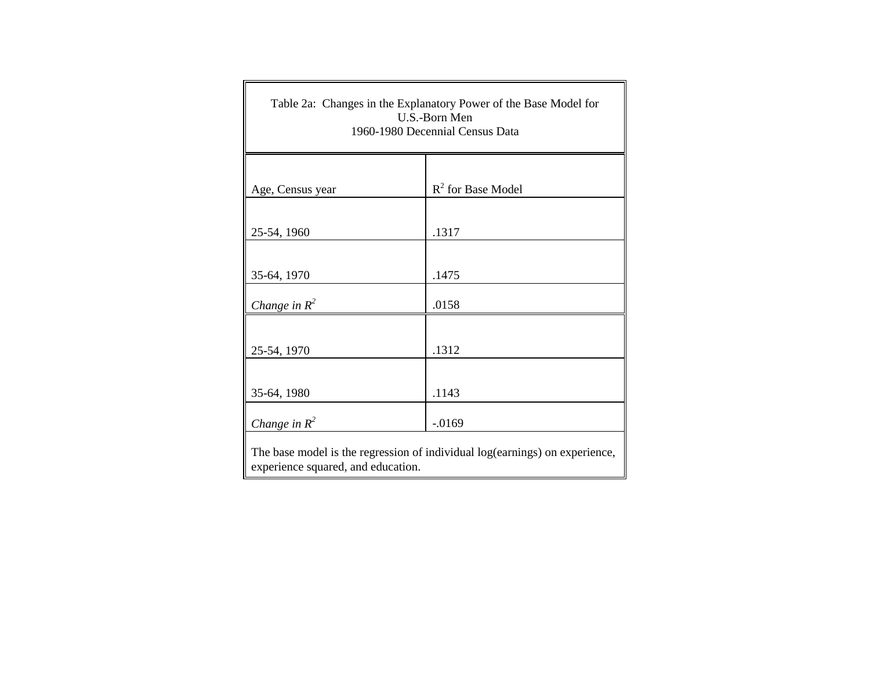| Table 2a: Changes in the Explanatory Power of the Base Model for<br>U.S.-Born Men<br>1960-1980 Decennial Census Data |                      |  |  |  |  |
|----------------------------------------------------------------------------------------------------------------------|----------------------|--|--|--|--|
|                                                                                                                      | $R^2$ for Base Model |  |  |  |  |
| Age, Census year                                                                                                     |                      |  |  |  |  |
| 25-54, 1960                                                                                                          | .1317                |  |  |  |  |
| 35-64, 1970                                                                                                          | .1475                |  |  |  |  |
| Change in $R^2$                                                                                                      | .0158                |  |  |  |  |
|                                                                                                                      |                      |  |  |  |  |
| 25-54, 1970                                                                                                          | .1312                |  |  |  |  |
|                                                                                                                      |                      |  |  |  |  |
| 35-64, 1980                                                                                                          | .1143                |  |  |  |  |
| Change in $R^2$                                                                                                      | $-0.0169$            |  |  |  |  |
| The base model is the regression of individual log(earnings) on experience,<br>experience squared, and education.    |                      |  |  |  |  |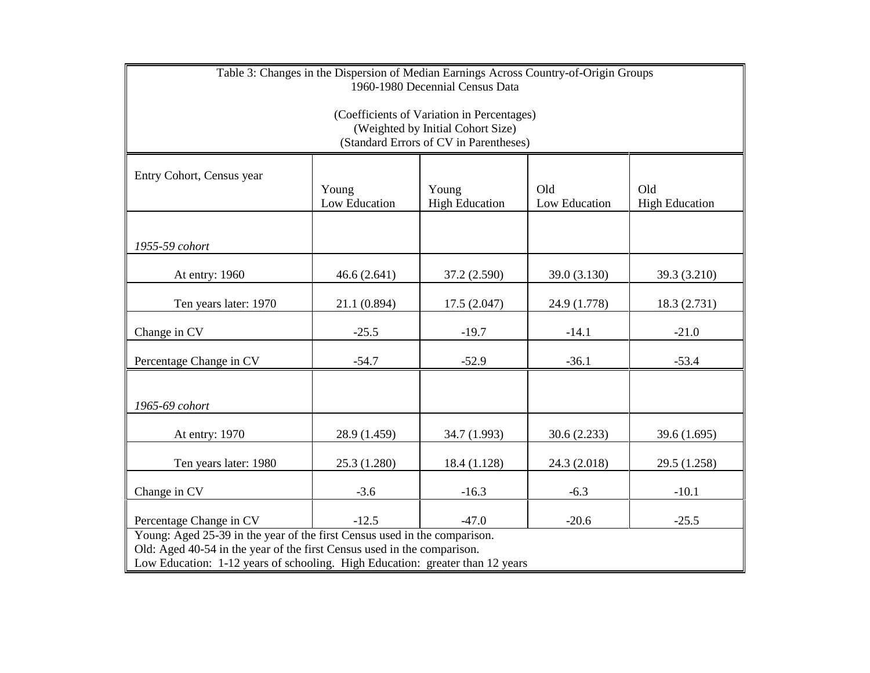| Table 3: Changes in the Dispersion of Median Earnings Across Country-of-Origin Groups<br>1960-1980 Decennial Census Data                      |                                                                                                                                                                                                                                       |              |              |              |  |  |  |
|-----------------------------------------------------------------------------------------------------------------------------------------------|---------------------------------------------------------------------------------------------------------------------------------------------------------------------------------------------------------------------------------------|--------------|--------------|--------------|--|--|--|
| (Coefficients of Variation in Percentages)<br>(Weighted by Initial Cohort Size)<br>(Standard Errors of CV in Parentheses)                     |                                                                                                                                                                                                                                       |              |              |              |  |  |  |
| Entry Cohort, Census year<br>Old<br>Young<br>Young<br>Old<br>Low Education<br>Low Education<br><b>High Education</b><br><b>High Education</b> |                                                                                                                                                                                                                                       |              |              |              |  |  |  |
| 1955-59 cohort                                                                                                                                |                                                                                                                                                                                                                                       |              |              |              |  |  |  |
| At entry: 1960                                                                                                                                | 46.6(2.641)                                                                                                                                                                                                                           | 37.2 (2.590) | 39.0 (3.130) | 39.3 (3.210) |  |  |  |
| Ten years later: 1970                                                                                                                         | 21.1 (0.894)                                                                                                                                                                                                                          | 17.5(2.047)  | 24.9 (1.778) | 18.3 (2.731) |  |  |  |
| Change in CV                                                                                                                                  | $-25.5$                                                                                                                                                                                                                               | $-19.7$      | $-14.1$      | $-21.0$      |  |  |  |
| Percentage Change in CV                                                                                                                       | $-54.7$                                                                                                                                                                                                                               | $-52.9$      | $-36.1$      | $-53.4$      |  |  |  |
| 1965-69 cohort                                                                                                                                |                                                                                                                                                                                                                                       |              |              |              |  |  |  |
| At entry: 1970                                                                                                                                | 28.9 (1.459)                                                                                                                                                                                                                          | 34.7 (1.993) | 30.6 (2.233) | 39.6 (1.695) |  |  |  |
| Ten years later: 1980                                                                                                                         | 25.3 (1.280)                                                                                                                                                                                                                          | 18.4 (1.128) | 24.3 (2.018) | 29.5 (1.258) |  |  |  |
| Change in CV                                                                                                                                  | $-3.6$                                                                                                                                                                                                                                | $-16.3$      | $-6.3$       | $-10.1$      |  |  |  |
| Percentage Change in CV                                                                                                                       | $-12.5$<br>$-47.0$<br>$-20.6$<br>$-25.5$                                                                                                                                                                                              |              |              |              |  |  |  |
|                                                                                                                                               | Young: Aged 25-39 in the year of the first Census used in the comparison.<br>Old: Aged 40-54 in the year of the first Census used in the comparison.<br>Low Education: 1-12 years of schooling. High Education: greater than 12 years |              |              |              |  |  |  |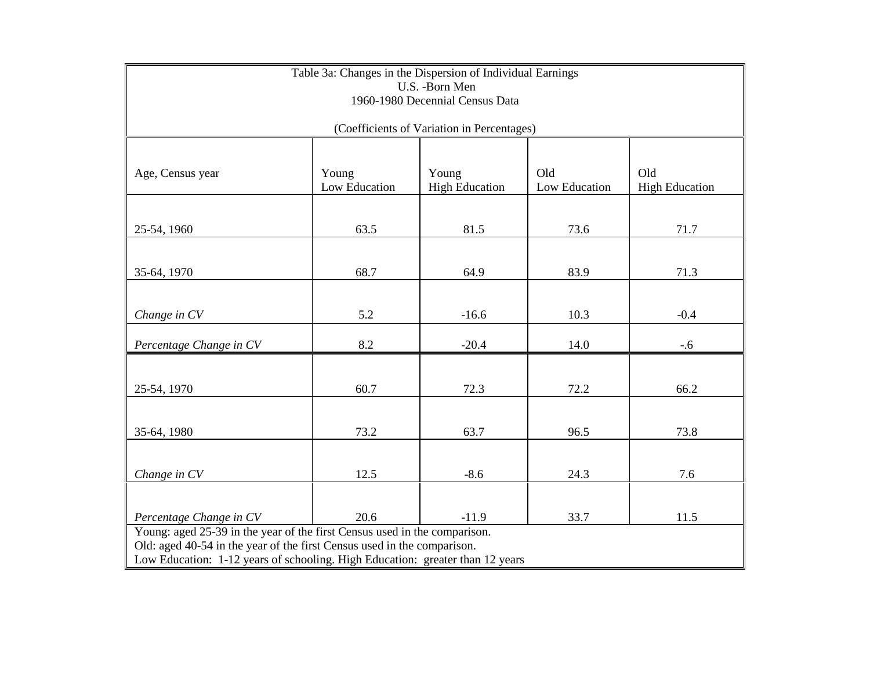| Table 3a: Changes in the Dispersion of Individual Earnings<br>U.S. - Born Men<br>1960-1980 Decennial Census Data                                                                                                                      |      |                                            |      |        |  |  |  |
|---------------------------------------------------------------------------------------------------------------------------------------------------------------------------------------------------------------------------------------|------|--------------------------------------------|------|--------|--|--|--|
|                                                                                                                                                                                                                                       |      | (Coefficients of Variation in Percentages) |      |        |  |  |  |
| Old<br>Old<br>Young<br>Young<br>Age, Census year<br>Low Education<br><b>High Education</b><br>Low Education<br><b>High Education</b>                                                                                                  |      |                                            |      |        |  |  |  |
| 25-54, 1960                                                                                                                                                                                                                           | 63.5 | 81.5                                       | 73.6 | 71.7   |  |  |  |
| 35-64, 1970                                                                                                                                                                                                                           | 68.7 | 64.9                                       | 83.9 | 71.3   |  |  |  |
| Change in CV                                                                                                                                                                                                                          | 5.2  | $-16.6$                                    | 10.3 | $-0.4$ |  |  |  |
| Percentage Change in CV                                                                                                                                                                                                               | 8.2  | $-20.4$                                    | 14.0 | $-.6$  |  |  |  |
| 25-54, 1970                                                                                                                                                                                                                           | 60.7 | 72.3                                       | 72.2 | 66.2   |  |  |  |
| 35-64, 1980                                                                                                                                                                                                                           | 73.2 | 63.7                                       | 96.5 | 73.8   |  |  |  |
| Change in CV                                                                                                                                                                                                                          | 12.5 | $-8.6$                                     | 24.3 | 7.6    |  |  |  |
| 20.6<br>$-11.9$<br>33.7<br>11.5<br>Percentage Change in CV                                                                                                                                                                            |      |                                            |      |        |  |  |  |
| Young: aged 25-39 in the year of the first Census used in the comparison.<br>Old: aged 40-54 in the year of the first Census used in the comparison.<br>Low Education: 1-12 years of schooling. High Education: greater than 12 years |      |                                            |      |        |  |  |  |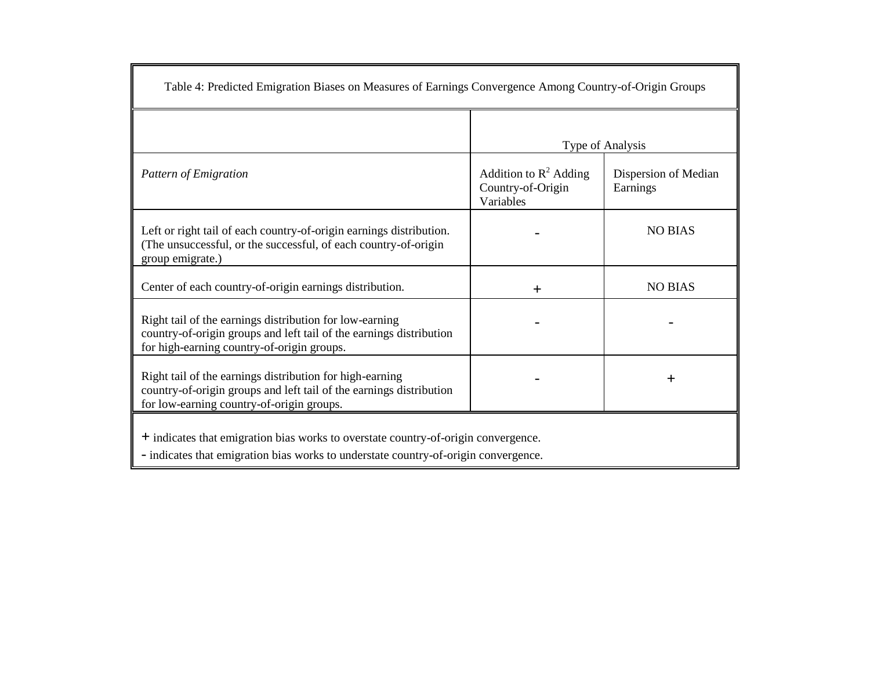| Table 4: Predicted Emigration Biases on Measures of Earnings Convergence Among Country-of-Origin Groups                                                                      |                                                            |                                  |  |  |  |
|------------------------------------------------------------------------------------------------------------------------------------------------------------------------------|------------------------------------------------------------|----------------------------------|--|--|--|
|                                                                                                                                                                              |                                                            | Type of Analysis                 |  |  |  |
| Pattern of Emigration                                                                                                                                                        | Addition to $R^2$ Adding<br>Country-of-Origin<br>Variables | Dispersion of Median<br>Earnings |  |  |  |
| Left or right tail of each country-of-origin earnings distribution.<br>(The unsuccessful, or the successful, of each country-of-origin<br>group emigrate.)                   |                                                            | <b>NO BIAS</b>                   |  |  |  |
| Center of each country-of-origin earnings distribution.                                                                                                                      | $^{+}$                                                     | <b>NO BIAS</b>                   |  |  |  |
| Right tail of the earnings distribution for low-earning<br>country-of-origin groups and left tail of the earnings distribution<br>for high-earning country-of-origin groups. |                                                            |                                  |  |  |  |
| Right tail of the earnings distribution for high-earning<br>country-of-origin groups and left tail of the earnings distribution<br>for low-earning country-of-origin groups. |                                                            | $\pm$                            |  |  |  |
| + indicates that emigration bias works to overstate country-of-origin convergence.<br>- indicates that emigration bias works to understate country-of-origin convergence.    |                                                            |                                  |  |  |  |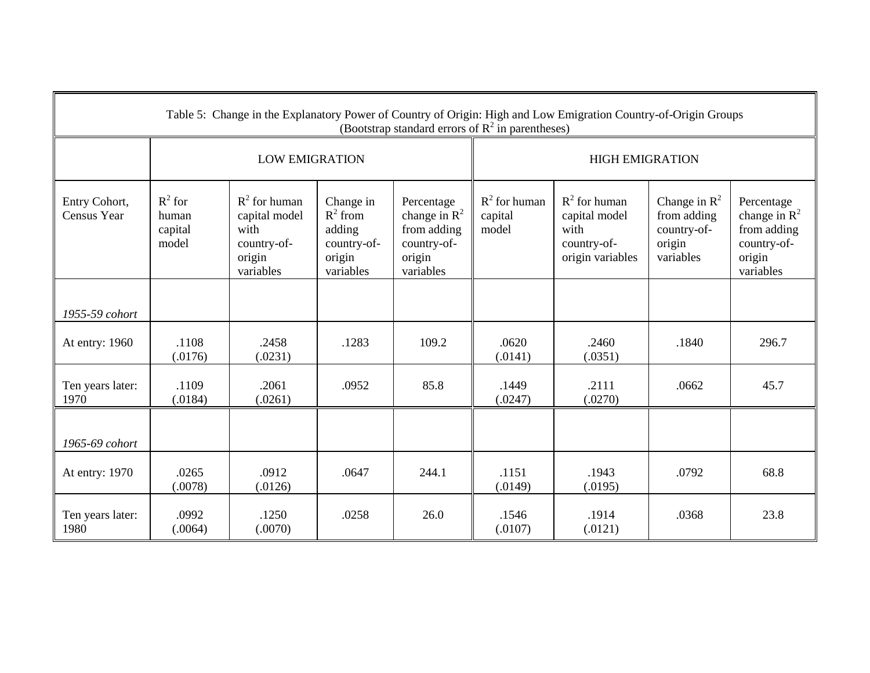| Table 5: Change in the Explanatory Power of Country of Origin: High and Low Emigration Country-of-Origin Groups<br>(Bootstrap standard errors of $R^2$ in parentheses) |                                        |                                                                                |                                                                         |                                                                                    |                                     |                                                                             |                                                                      |                                                                                    |
|------------------------------------------------------------------------------------------------------------------------------------------------------------------------|----------------------------------------|--------------------------------------------------------------------------------|-------------------------------------------------------------------------|------------------------------------------------------------------------------------|-------------------------------------|-----------------------------------------------------------------------------|----------------------------------------------------------------------|------------------------------------------------------------------------------------|
|                                                                                                                                                                        |                                        | <b>LOW EMIGRATION</b>                                                          |                                                                         |                                                                                    |                                     | <b>HIGH EMIGRATION</b>                                                      |                                                                      |                                                                                    |
| Entry Cohort,<br>Census Year                                                                                                                                           | $R^2$ for<br>human<br>capital<br>model | $R^2$ for human<br>capital model<br>with<br>country-of-<br>origin<br>variables | Change in<br>$R^2$ from<br>adding<br>country-of-<br>origin<br>variables | Percentage<br>change in $R^2$<br>from adding<br>country-of-<br>origin<br>variables | $R^2$ for human<br>capital<br>model | $R^2$ for human<br>capital model<br>with<br>country-of-<br>origin variables | Change in $R^2$<br>from adding<br>country-of-<br>origin<br>variables | Percentage<br>change in $R^2$<br>from adding<br>country-of-<br>origin<br>variables |
| 1955-59 cohort                                                                                                                                                         |                                        |                                                                                |                                                                         |                                                                                    |                                     |                                                                             |                                                                      |                                                                                    |
| At entry: 1960                                                                                                                                                         | .1108<br>(.0176)                       | .2458<br>(.0231)                                                               | .1283                                                                   | 109.2                                                                              | .0620<br>(.0141)                    | .2460<br>(.0351)                                                            | .1840                                                                | 296.7                                                                              |
| Ten years later:<br>1970                                                                                                                                               | .1109<br>(.0184)                       | .2061<br>(.0261)                                                               | .0952                                                                   | 85.8                                                                               | .1449<br>(.0247)                    | .2111<br>(.0270)                                                            | .0662                                                                | 45.7                                                                               |
| 1965-69 cohort                                                                                                                                                         |                                        |                                                                                |                                                                         |                                                                                    |                                     |                                                                             |                                                                      |                                                                                    |
| At entry: 1970                                                                                                                                                         | .0265<br>(.0078)                       | .0912<br>(.0126)                                                               | .0647                                                                   | 244.1                                                                              | .1151<br>(.0149)                    | .1943<br>(.0195)                                                            | .0792                                                                | 68.8                                                                               |
| Ten years later:<br>1980                                                                                                                                               | .0992<br>(.0064)                       | .1250<br>(.0070)                                                               | .0258                                                                   | 26.0                                                                               | .1546<br>(.0107)                    | .1914<br>(.0121)                                                            | .0368                                                                | 23.8                                                                               |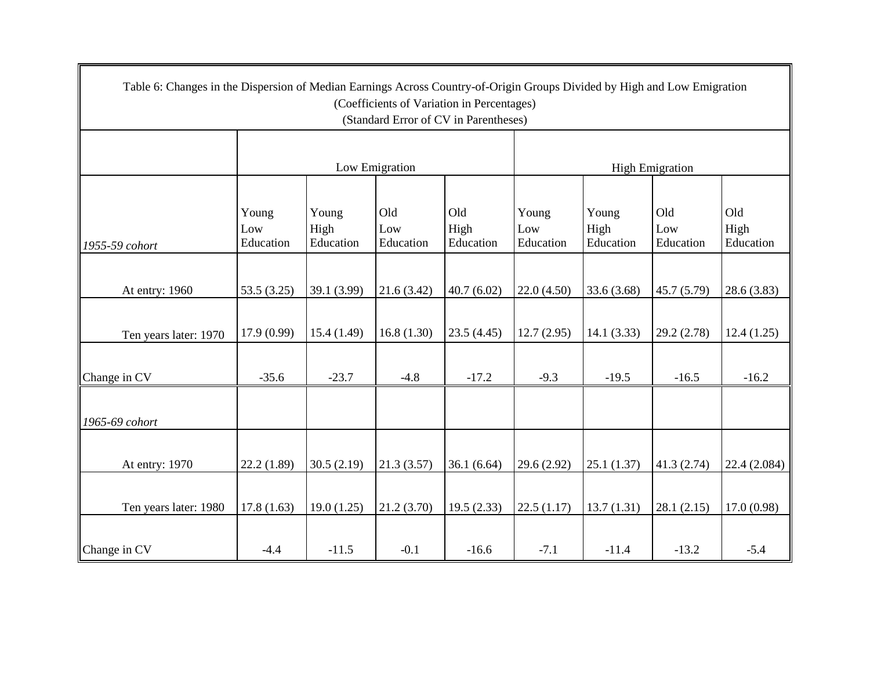| Table 6: Changes in the Dispersion of Median Earnings Across Country-of-Origin Groups Divided by High and Low Emigration |                  |                   |                  |                   |                  |                   |                        |                   |
|--------------------------------------------------------------------------------------------------------------------------|------------------|-------------------|------------------|-------------------|------------------|-------------------|------------------------|-------------------|
| (Coefficients of Variation in Percentages)<br>(Standard Error of CV in Parentheses)                                      |                  |                   |                  |                   |                  |                   |                        |                   |
|                                                                                                                          |                  |                   |                  |                   |                  |                   |                        |                   |
|                                                                                                                          |                  |                   | Low Emigration   |                   |                  |                   | <b>High Emigration</b> |                   |
|                                                                                                                          |                  |                   |                  |                   |                  |                   |                        |                   |
|                                                                                                                          | Young            | Young             | Old              | Old               | Young            | Young             | Old                    | Old               |
| 1955-59 cohort                                                                                                           | Low<br>Education | High<br>Education | Low<br>Education | High<br>Education | Low<br>Education | High<br>Education | Low<br>Education       | High<br>Education |
|                                                                                                                          |                  |                   |                  |                   |                  |                   |                        |                   |
| At entry: 1960                                                                                                           | 53.5(3.25)       | 39.1 (3.99)       | 21.6(3.42)       | 40.7(6.02)        | 22.0(4.50)       | 33.6 (3.68)       | 45.7(5.79)             | 28.6(3.83)        |
|                                                                                                                          |                  |                   |                  |                   |                  |                   |                        |                   |
| Ten years later: 1970                                                                                                    | 17.9 (0.99)      | 15.4(1.49)        | 16.8(1.30)       | 23.5(4.45)        | 12.7(2.95)       | 14.1(3.33)        | 29.2(2.78)             | 12.4(1.25)        |
|                                                                                                                          |                  |                   |                  |                   |                  |                   |                        |                   |
| Change in CV                                                                                                             | $-35.6$          | $-23.7$           | $-4.8$           | $-17.2$           | $-9.3$           | $-19.5$           | $-16.5$                | $-16.2$           |
|                                                                                                                          |                  |                   |                  |                   |                  |                   |                        |                   |
| 1965-69 cohort                                                                                                           |                  |                   |                  |                   |                  |                   |                        |                   |
|                                                                                                                          |                  |                   |                  |                   |                  |                   |                        |                   |
| At entry: 1970                                                                                                           | 22.2(1.89)       | 30.5(2.19)        | 21.3(3.57)       | 36.1(6.64)        | 29.6 (2.92)      | 25.1(1.37)        | 41.3 (2.74)            | 22.4 (2.084)      |
|                                                                                                                          |                  |                   |                  |                   |                  |                   |                        |                   |
| Ten years later: 1980                                                                                                    | 17.8(1.63)       | 19.0(1.25)        | 21.2(3.70)       | 19.5(2.33)        | 22.5(1.17)       | 13.7(1.31)        | 28.1(2.15)             | 17.0(0.98)        |
|                                                                                                                          |                  |                   |                  |                   |                  |                   |                        |                   |
| Change in CV                                                                                                             | $-4.4$           | $-11.5$           | $-0.1$           | $-16.6$           | $-7.1$           | $-11.4$           | $-13.2$                | $-5.4$            |

 $\blacksquare$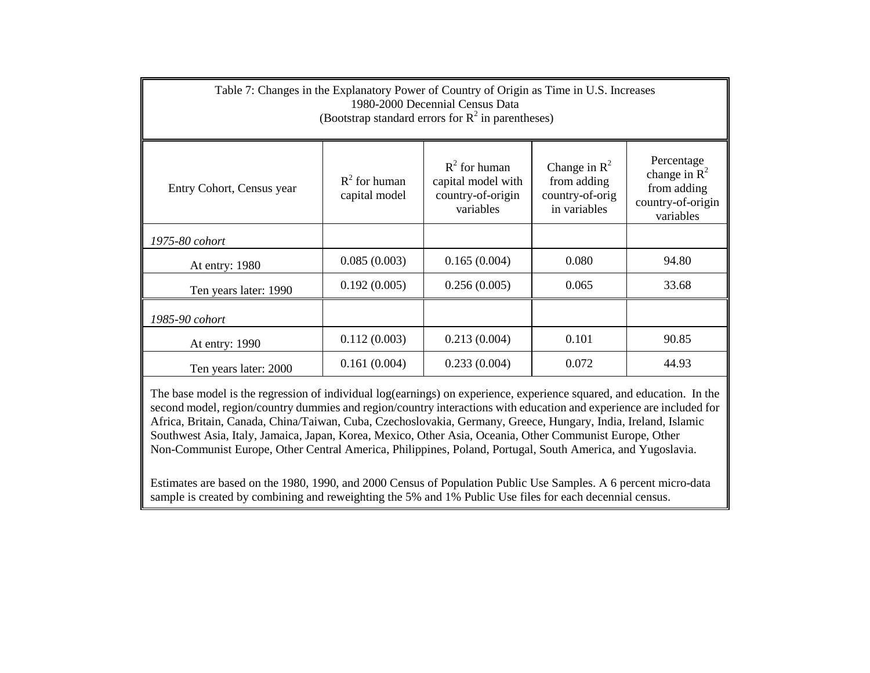| Table 7: Changes in the Explanatory Power of Country of Origin as Time in U.S. Increases<br>1980-2000 Decennial Census Data<br>(Bootstrap standard errors for $R^2$ in parentheses)                                                                                                                      |                                                |              |       |       |  |  |  |  |
|----------------------------------------------------------------------------------------------------------------------------------------------------------------------------------------------------------------------------------------------------------------------------------------------------------|------------------------------------------------|--------------|-------|-------|--|--|--|--|
| Percentage<br>$R^2$ for human<br>Change in $\mathbb{R}^2$<br>change in $R^2$<br>$R^2$ for human<br>from adding<br>capital model with<br>from adding<br>Entry Cohort, Census year<br>country-of-origin<br>country-of-orig<br>capital model<br>country-of-origin<br>in variables<br>variables<br>variables |                                                |              |       |       |  |  |  |  |
| 1975-80 cohort                                                                                                                                                                                                                                                                                           |                                                |              |       |       |  |  |  |  |
| At entry: 1980                                                                                                                                                                                                                                                                                           | 0.085(0.003)                                   | 0.165(0.004) | 0.080 | 94.80 |  |  |  |  |
| Ten years later: 1990                                                                                                                                                                                                                                                                                    | 0.192(0.005)                                   | 0.256(0.005) | 0.065 | 33.68 |  |  |  |  |
| 1985-90 cohort                                                                                                                                                                                                                                                                                           |                                                |              |       |       |  |  |  |  |
| At entry: 1990                                                                                                                                                                                                                                                                                           | 0.112(0.003)<br>90.85<br>0.213(0.004)<br>0.101 |              |       |       |  |  |  |  |
| Ten years later: 2000                                                                                                                                                                                                                                                                                    | 0.161(0.004)                                   | 0.233(0.004) | 0.072 | 44.93 |  |  |  |  |

The base model is the regression of individual log(earnings) on experience, experience squared, and education. In the second model, region/country dummies and region/country interactions with education and experience are included for Africa, Britain, Canada, China/Taiwan, Cuba, Czechoslovakia, Germany, Greece, Hungary, India, Ireland, Islamic Southwest Asia, Italy, Jamaica, Japan, Korea, Mexico, Other Asia, Oceania, Other Communist Europe, Other Non-Communist Europe, Other Central America, Philippines, Poland, Portugal, South America, and Yugoslavia.

Estimates are based on the 1980, 1990, and 2000 Census of Population Public Use Samples. A 6 percent micro-data sample is created by combining and reweighting the 5% and 1% Public Use files for each decennial census.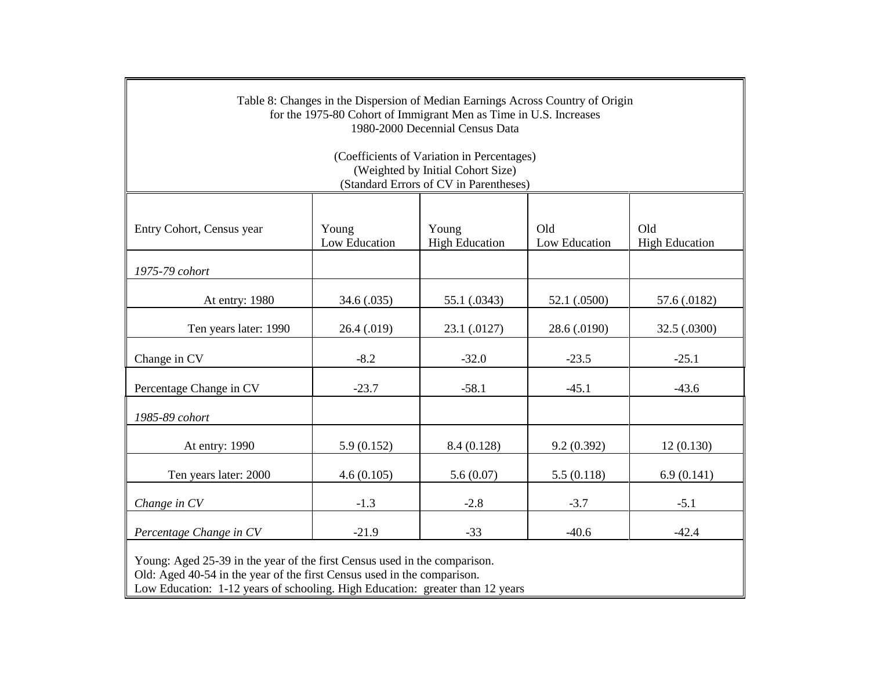| Table 8: Changes in the Dispersion of Median Earnings Across Country of Origin<br>for the 1975-80 Cohort of Immigrant Men as Time in U.S. Increases<br>1980-2000 Decennial Census Data |             |              |              |              |  |  |  |  |
|----------------------------------------------------------------------------------------------------------------------------------------------------------------------------------------|-------------|--------------|--------------|--------------|--|--|--|--|
| (Coefficients of Variation in Percentages)<br>(Weighted by Initial Cohort Size)<br>(Standard Errors of CV in Parentheses)                                                              |             |              |              |              |  |  |  |  |
| Old<br>Old<br>Young<br>Young<br>Entry Cohort, Census year<br>Low Education<br><b>High Education</b><br>Low Education<br><b>High Education</b>                                          |             |              |              |              |  |  |  |  |
| 1975-79 cohort                                                                                                                                                                         |             |              |              |              |  |  |  |  |
| 52.1 (.0500)<br>At entry: 1980<br>34.6 (.035)<br>55.1 (.0343)<br>57.6 (.0182)                                                                                                          |             |              |              |              |  |  |  |  |
| Ten years later: 1990                                                                                                                                                                  | 26.4 (.019) | 23.1 (.0127) | 28.6 (.0190) | 32.5 (.0300) |  |  |  |  |
| Change in CV                                                                                                                                                                           | $-8.2$      | $-32.0$      | $-23.5$      | $-25.1$      |  |  |  |  |
| Percentage Change in CV                                                                                                                                                                | $-23.7$     | $-58.1$      | $-45.1$      | $-43.6$      |  |  |  |  |
| 1985-89 cohort                                                                                                                                                                         |             |              |              |              |  |  |  |  |
| At entry: 1990                                                                                                                                                                         | 5.9(0.152)  | 8.4 (0.128)  | 9.2(0.392)   | 12(0.130)    |  |  |  |  |
| Ten years later: 2000                                                                                                                                                                  | 4.6(0.105)  | 5.6(0.07)    | 5.5(0.118)   | 6.9(0.141)   |  |  |  |  |
| Change in CV                                                                                                                                                                           | $-1.3$      | $-2.8$       | $-3.7$       | $-5.1$       |  |  |  |  |
| Percentage Change in CV                                                                                                                                                                | $-21.9$     | $-33$        | $-40.6$      | $-42.4$      |  |  |  |  |

Young: Aged 25-39 in the year of the first Census used in the comparison.

Old: Aged 40-54 in the year of the first Census used in the comparison.

Low Education: 1-12 years of schooling. High Education: greater than 12 years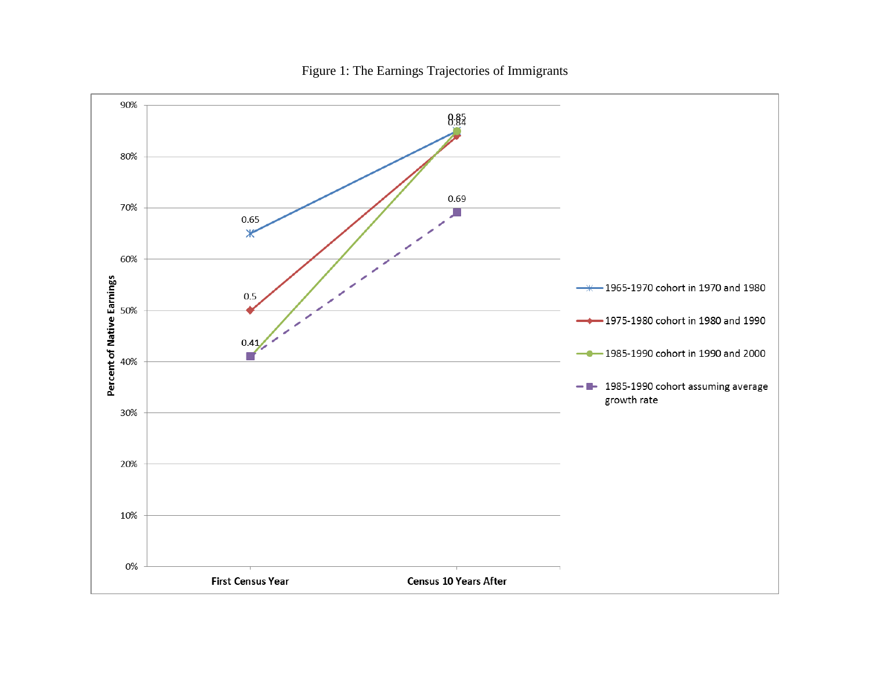

Figure 1: The Earnings Trajectories of Immigrants